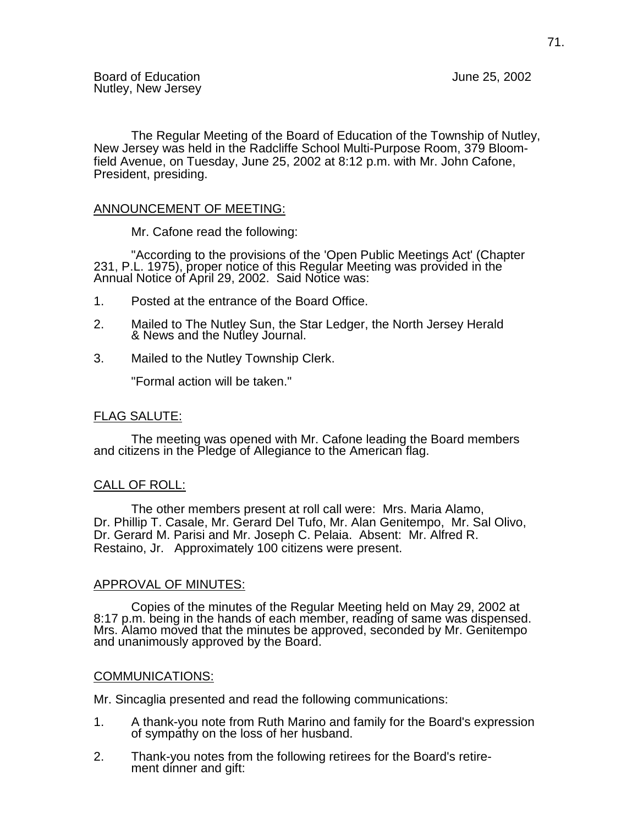The Regular Meeting of the Board of Education of the Township of Nutley, New Jersey was held in the Radcliffe School Multi-Purpose Room, 379 Bloomfield Avenue, on Tuesday, June 25, 2002 at 8:12 p.m. with Mr. John Cafone, President, presiding.

# ANNOUNCEMENT OF MEETING:

Mr. Cafone read the following:

 "According to the provisions of the 'Open Public Meetings Act' (Chapter 231, P.L. 1975), proper notice of this Regular Meeting was provided in the Annual Notice of April 29, 2002. Said Notice was:

- 1. Posted at the entrance of the Board Office.
- 2. Mailed to The Nutley Sun, the Star Ledger, the North Jersey Herald & News and the Nutley Journal.
- 3. Mailed to the Nutley Township Clerk.

"Formal action will be taken."

# FLAG SALUTE:

 The meeting was opened with Mr. Cafone leading the Board members and citizens in the Pledge of Allegiance to the American flag.

# CALL OF ROLL:

 The other members present at roll call were: Mrs. Maria Alamo, Dr. Phillip T. Casale, Mr. Gerard Del Tufo, Mr. Alan Genitempo, Mr. Sal Olivo, Dr. Gerard M. Parisi and Mr. Joseph C. Pelaia. Absent: Mr. Alfred R. Restaino, Jr. Approximately 100 citizens were present.

# APPROVAL OF MINUTES:

 Copies of the minutes of the Regular Meeting held on May 29, 2002 at 8:17 p.m. being in the hands of each member, reading of same was dispensed. Mrs. Alamo moved that the minutes be approved, seconded by Mr. Genitempo and unanimously approved by the Board.

# COMMUNICATIONS:

Mr. Sincaglia presented and read the following communications:

- 1. A thank-you note from Ruth Marino and family for the Board's expression of sympathy on the loss of her husband.
- 2. Thank-you notes from the following retirees for the Board's retire ment dinner and gift: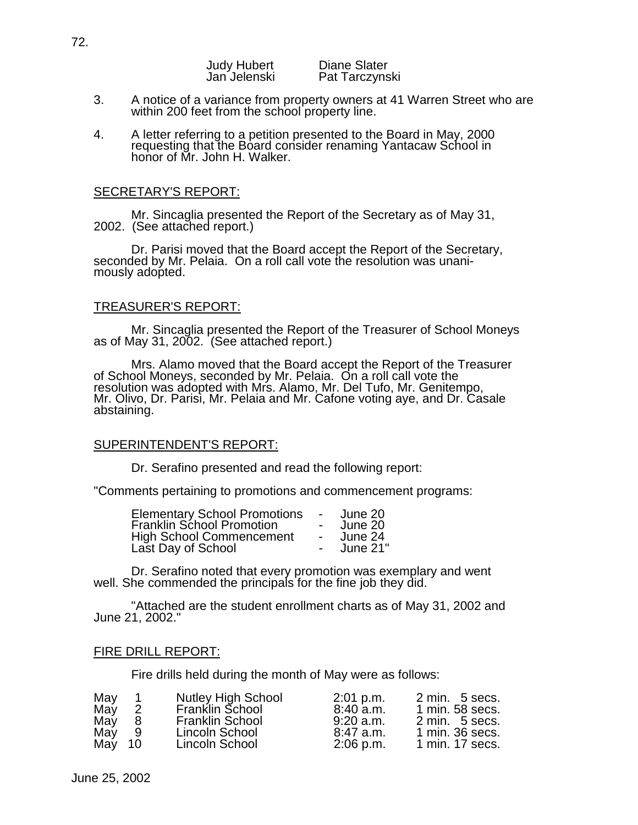Judy Hubert Diane Slater<br>Jan Jelenski Pat Tarczyns

Pat Tarczynski

- 3. A notice of a variance from property owners at 41 Warren Street who are within 200 feet from the school property line.
- 4. A letter referring to a petition presented to the Board in May, 2000 requesting that the Board consider renaming Yantacaw School in honor of Mr. John H. Walker.

### SECRETARY'S REPORT:

 Mr. Sincaglia presented the Report of the Secretary as of May 31, 2002. (See attached report.)

 Dr. Parisi moved that the Board accept the Report of the Secretary, seconded by Mr. Pelaia. On a roll call vote the resolution was unanimously adopted.

### TREASURER'S REPORT:

 Mr. Sincaglia presented the Report of the Treasurer of School Moneys as of May 31, 2002. (See attached report.)

 Mrs. Alamo moved that the Board accept the Report of the Treasurer of School Moneys, seconded by Mr. Pelaia. On a roll call vote the resolution was adopted with Mrs. Alamo, Mr. Del Tufo, Mr. Genitempo, Mr. Olivo, Dr. Parisi, Mr. Pelaia and Mr. Cafone voting aye, and Dr. Casale abstaining.

#### SUPERINTENDENT'S REPORT:

Dr. Serafino presented and read the following report:

"Comments pertaining to promotions and commencement programs:

| <b>Elementary School Promotions</b> | <b>Contract Contract</b> | June 20  |
|-------------------------------------|--------------------------|----------|
| <b>Franklin School Promotion</b>    |                          | June 20  |
| <b>High School Commencement</b>     |                          | June 24  |
| Last Day of School                  |                          | June 21" |

 Dr. Serafino noted that every promotion was exemplary and went well. She commended the principals for the fine job they did.

 "Attached are the student enrollment charts as of May 31, 2002 and June 21, 2002."

#### FIRE DRILL REPORT:

Fire drills held during the month of May were as follows:

| May       |   | <b>Nutley High School</b> | $2:01$ p.m. | 2 min. 5 secs.  |
|-----------|---|---------------------------|-------------|-----------------|
| May       |   | Franklin School           | 8:40a.m.    | 1 min. 58 secs. |
| May       | 8 | <b>Franklin School</b>    | $9:20$ a.m. | 2 min. 5 secs.  |
| May       | 9 | Lincoln School            | $8:47$ a.m. | 1 min. 36 secs. |
| $M$ ay 10 |   | Lincoln School            | $2:06$ p.m. | 1 min. 17 secs. |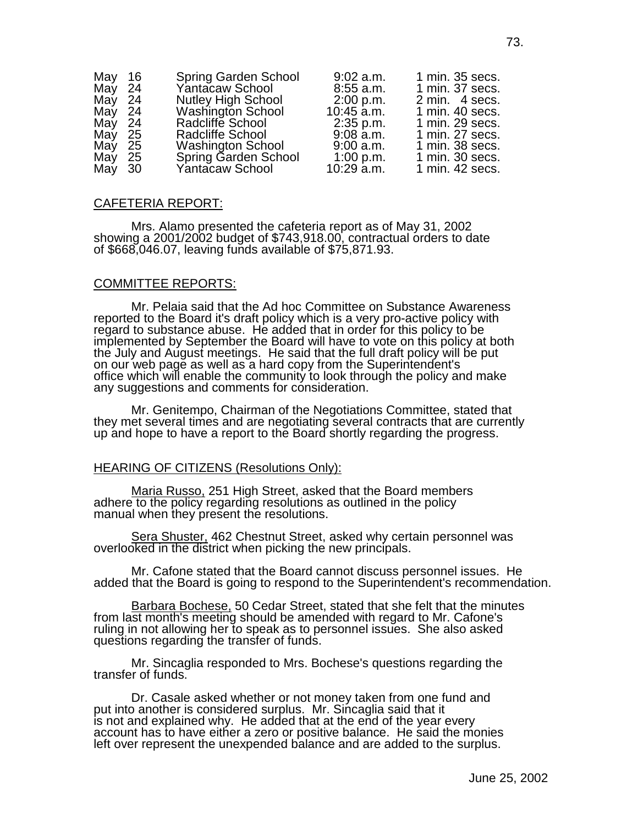| May 16   | <b>Spring Garden School</b> | $9:02$ a.m.  | 1 min. 35 secs.   |
|----------|-----------------------------|--------------|-------------------|
| May $24$ | Yantacaw School             | $8:55$ a.m.  | 1 min. 37 secs.   |
| May 24   | <b>Nutley High School</b>   | $2:00$ p.m.  | 2 min. 4 secs.    |
| May 24   | Washington School           | $10:45$ a.m. | 1 min. $40$ secs. |
| May 24   | Radcliffe School            | $2:35$ p.m.  | 1 min. 29 secs.   |
| May 25   | Radcliffe School            | $9:08$ a.m.  | 1 min. 27 secs.   |
| May $25$ | <b>Washington School</b>    | $9:00$ a.m.  | 1 min. 38 secs.   |
| May 25   | <b>Spring Garden School</b> | 1:00 p.m.    | 1 min. 30 secs.   |
| May 30   | Yantacaw School             | $10:29$ a.m. | 1 min. 42 secs.   |

#### CAFETERIA REPORT:

 Mrs. Alamo presented the cafeteria report as of May 31, 2002 showing a 2001/2002 budget of \$743,918.00, contractual orders to date of \$668,046.07, leaving funds available of \$75,871.93.

#### COMMITTEE REPORTS:

 Mr. Pelaia said that the Ad hoc Committee on Substance Awareness reported to the Board it's draft policy which is a very pro-active policy with regard to substance abuse. He added that in order for this policy to be implemented by September the Board will have to vote on this policy at both the July and August meetings. He said that the full draft policy will be put on our web page as well as a hard copy from the Superintendent's office which will enable the community to look through the policy and make any suggestions and comments for consideration.

 Mr. Genitempo, Chairman of the Negotiations Committee, stated that they met several times and are negotiating several contracts that are currently up and hope to have a report to the Board shortly regarding the progress.

#### HEARING OF CITIZENS (Resolutions Only):

Maria Russo, 251 High Street, asked that the Board members adhere to the policy regarding resolutions as outlined in the policy manual when they present the resolutions.

Sera Shuster, 462 Chestnut Street, asked why certain personnel was overlooked in the district when picking the new principals.

 Mr. Cafone stated that the Board cannot discuss personnel issues. He added that the Board is going to respond to the Superintendent's recommendation.

 Barbara Bochese, 50 Cedar Street, stated that she felt that the minutes from last month's meeting should be amended with regard to Mr. Cafone's ruling in not allowing her to speak as to personnel issues. She also asked questions regarding the transfer of funds.

 Mr. Sincaglia responded to Mrs. Bochese's questions regarding the transfer of funds.

 Dr. Casale asked whether or not money taken from one fund and put into another is considered surplus. Mr. Sincaglia said that it is not and explained why. He added that at the end of the year every account has to have either a zero or positive balance. He said the monies left over represent the unexpended balance and are added to the surplus.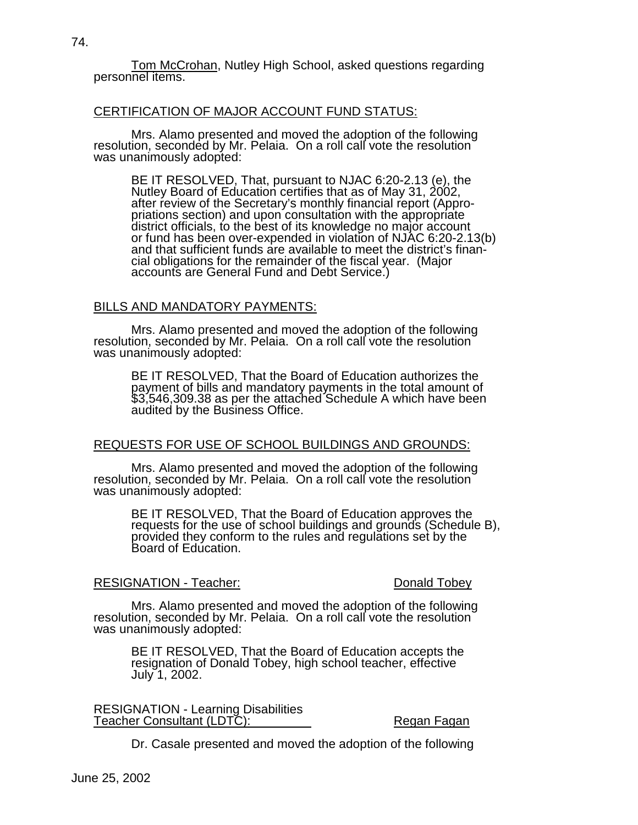<u>Tom McCrohan,</u> Nutley High School, asked questions regarding<br>personnel items.

### CERTIFICATION OF MAJOR ACCOUNT FUND STATUS:

 Mrs. Alamo presented and moved the adoption of the following resolution, seconded by Mr. Pelaia. On a roll call vote the resolution was unanimously adopted:

BE IT RESOLVED, That, pursuant to NJAC 6:20-2.13 (e), the Nutley Board of Education certifies that as of May 31, 2002, after review of the Secretary's monthly financial report (Appropriations section) and upon consultation with the appropriate district officials, to the best of its knowledge no major account or fund has been over-expended in violation of NJAC 6:20-2.13(b) and that sufficient funds are available to meet the district's financial obligations for the remainder of the fiscal year. (Major accounts are General Fund and Debt Service.)

#### BILLS AND MANDATORY PAYMENTS:

 Mrs. Alamo presented and moved the adoption of the following resolution, seconded by Mr. Pelaia. On a roll call vote the resolution was unanimously adopted:

BE IT RESOLVED, That the Board of Education authorizes the payment of bills and mandatory payments in the total amount of \$3,546,309.38 as per the attached Schedule A which have been audited by the Business Office.

#### REQUESTS FOR USE OF SCHOOL BUILDINGS AND GROUNDS:

 Mrs. Alamo presented and moved the adoption of the following resolution, seconded by Mr. Pelaia. On a roll call vote the resolution was unanimously adopted:

BE IT RESOLVED, That the Board of Education approves the requests for the use of school buildings and grounds (Schedule B), provided they conform to the rules and regulations set by the Board of Education.

### RESIGNATION - Teacher: Donald Tobey

 Mrs. Alamo presented and moved the adoption of the following resolution, seconded by Mr. Pelaia. On a roll call vote the resolution was unanimously adopted:

BE IT RESOLVED, That the Board of Education accepts the resignation of Donald Tobey, high school teacher, effective July 1, 2002.

RESIGNATION - Learning Disabilities Teacher Consultant (LDTC): Regan Fagan

Dr. Casale presented and moved the adoption of the following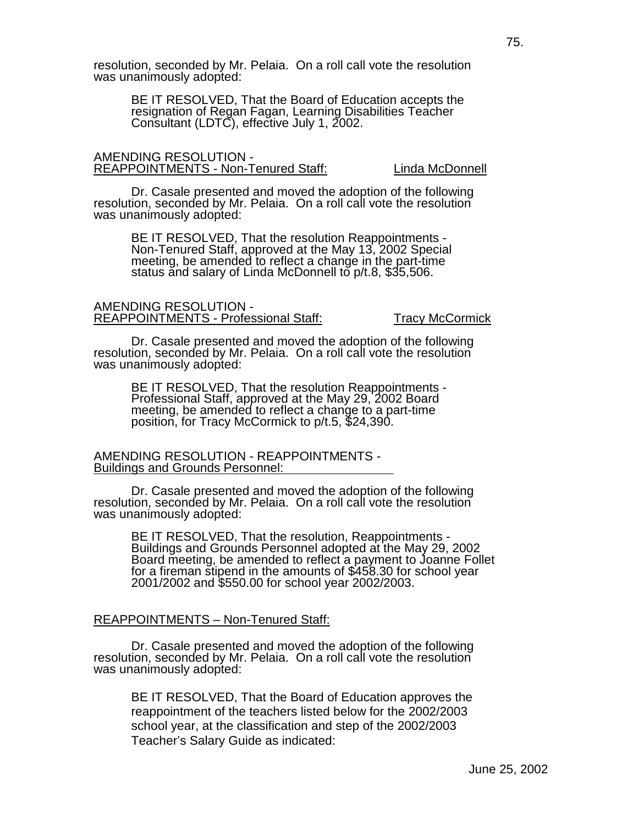resolution, seconded by Mr. Pelaia. On a roll call vote the resolution was unanimously adopted:

> BE IT RESOLVED, That the Board of Education accepts the resignation of Regan Fagan, Learning Disabilities Teacher Consultant (LDTC), effective July 1, 2002.

#### AMENDING RESOLUTION - REAPPOINTMENTS - Non-Tenured Staff: Linda McDonnell

 Dr. Casale presented and moved the adoption of the following resolution, seconded by Mr. Pelaia. On a roll call vote the resolution was unanimously adopted:

BE IT RESOLVED, That the resolution Reappointments - Non-Tenured Staff, approved at the May 13, 2002 Special meeting, be amended to reflect a change in the part-time status and salary of Linda McDonnell to p/t.8, \$35,506.

#### AMENDING RESOLUTION - REAPPOINTMENTS - Professional Staff: Tracy McCormick

 Dr. Casale presented and moved the adoption of the following resolution, seconded by Mr. Pelaia. On a roll call vote the resolution was unanimously adopted:

BE IT RESOLVED, That the resolution Reappointments - Professional Staff, approved at the May 29, 2002 Board meeting, be amended to reflect a change to a part-time position, for Tracy McCormick to p/t.5, \$24,390.

AMENDING RESOLUTION - REAPPOINTMENTS - Buildings and Grounds Personnel:

 Dr. Casale presented and moved the adoption of the following resolution, seconded by Mr. Pelaia. On a roll call vote the resolution was unanimously adopted:

BE IT RESOLVED, That the resolution, Reappointments - Buildings and Grounds Personnel adopted at the May 29, 2002 Board meeting, be amended to reflect a payment to Joanne Follet for a fireman stipend in the amounts of \$458.30 for school year 2001/2002 and \$550.00 for school year 2002/2003.

### REAPPOINTMENTS – Non-Tenured Staff:

 Dr. Casale presented and moved the adoption of the following resolution, seconded by Mr. Pelaia. On a roll call vote the resolution was unanimously adopted:

BE IT RESOLVED, That the Board of Education approves the reappointment of the teachers listed below for the 2002/2003 school year, at the classification and step of the 2002/2003 Teacher's Salary Guide as indicated: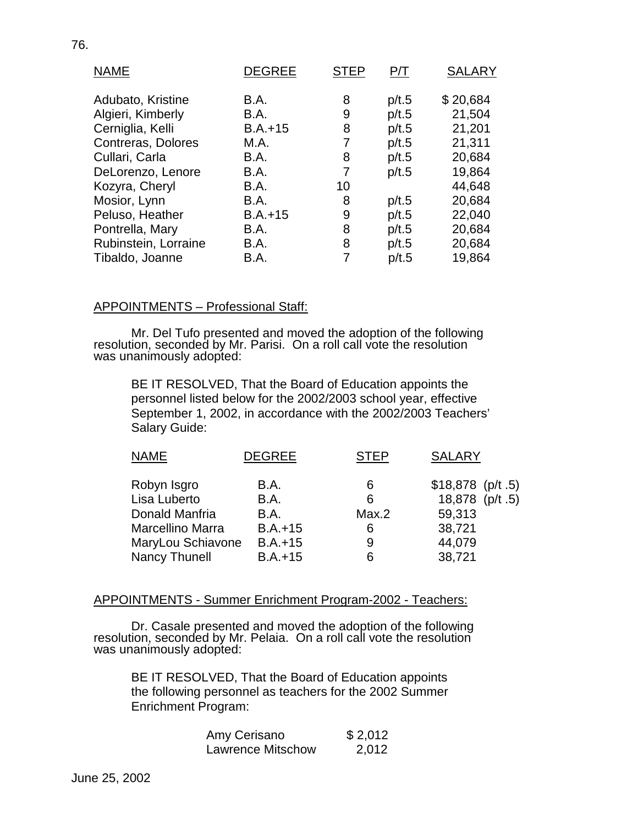| <b>NAME</b>          | <b>DEGREE</b> | STEP | P/T   | <b>SALARY</b> |
|----------------------|---------------|------|-------|---------------|
| Adubato, Kristine    | B.A.          | 8    | p/t.5 | \$20,684      |
| Algieri, Kimberly    | B.A.          | 9    | p/t.5 | 21,504        |
| Cerniglia, Kelli     | $B.A.+15$     | 8    | p/t.5 | 21,201        |
| Contreras, Dolores   | M.A.          | 7    | p/t.5 | 21,311        |
| Cullari, Carla       | B.A.          | 8    | p/t.5 | 20,684        |
| DeLorenzo, Lenore    | B.A.          | 7    | p/t.5 | 19,864        |
| Kozyra, Cheryl       | B.A.          | 10   |       | 44,648        |
| Mosior, Lynn         | B.A.          | 8    | p/t.5 | 20,684        |
| Peluso, Heather      | $B.A.+15$     | 9    | p/t.5 | 22,040        |
| Pontrella, Mary      | B.A.          | 8    | p/t.5 | 20,684        |
| Rubinstein, Lorraine | B.A.          | 8    | p/t.5 | 20,684        |
| Tibaldo, Joanne      | B.A.          |      | p/t.5 | 19,864        |

# APPOINTMENTS – Professional Staff:

 Mr. Del Tufo presented and moved the adoption of the following resolution, seconded by Mr. Parisi. On a roll call vote the resolution was unanimously adopted:

BE IT RESOLVED, That the Board of Education appoints the personnel listed below for the 2002/2003 school year, effective September 1, 2002, in accordance with the 2002/2003 Teachers' Salary Guide:

| <b>NAME</b>          | <b>DEGREE</b> | STEP  | <b>SALARY</b>     |  |
|----------------------|---------------|-------|-------------------|--|
| Robyn Isgro          | <b>B.A.</b>   | 6     | $$18,878$ (p/t.5) |  |
| Lisa Luberto         | B.A.          | 6     | 18,878 (p/t .5)   |  |
| Donald Manfria       | B.A.          | Max.2 | 59,313            |  |
| Marcellino Marra     | $B.A.+15$     | 6     | 38,721            |  |
| MaryLou Schiavone    | $B.A.+15$     | 9     | 44,079            |  |
| <b>Nancy Thunell</b> | $B.A.+15$     | 6     | 38,721            |  |

# APPOINTMENTS - Summer Enrichment Program-2002 - Teachers:

 Dr. Casale presented and moved the adoption of the following resolution, seconded by Mr. Pelaia. On a roll call vote the resolution was unanimously adopted:

 BE IT RESOLVED, That the Board of Education appoints the following personnel as teachers for the 2002 Summer Enrichment Program:

| Amy Cerisano             | \$2,012 |
|--------------------------|---------|
| <b>Lawrence Mitschow</b> | 2,012   |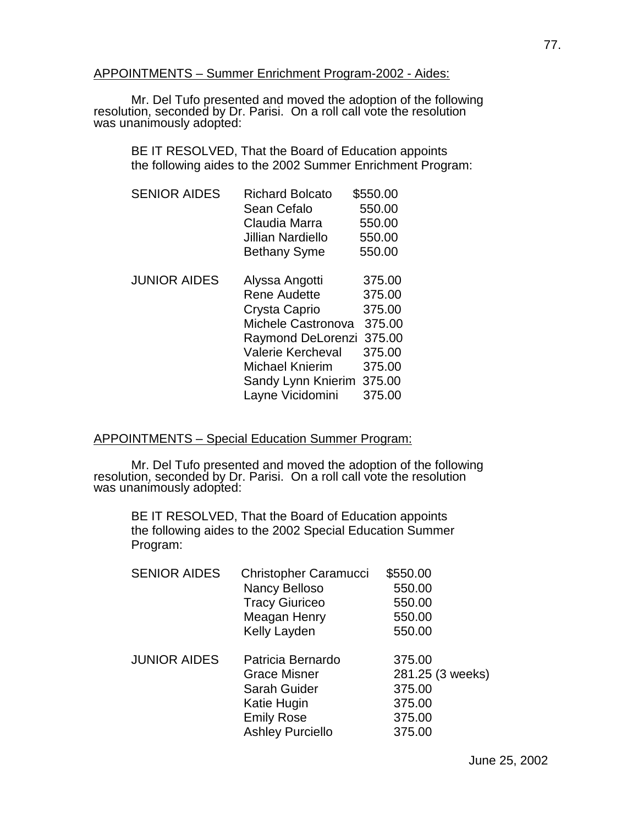# APPOINTMENTS – Summer Enrichment Program-2002 - Aides:

 Mr. Del Tufo presented and moved the adoption of the following resolution, seconded by Dr. Parisi. On a roll call vote the resolution was unanimously adopted:

BE IT RESOLVED, That the Board of Education appoints the following aides to the 2002 Summer Enrichment Program:

| <b>Richard Bolcato</b>   | \$550.00                                                         |
|--------------------------|------------------------------------------------------------------|
| Sean Cefalo              | 550.00                                                           |
| Claudia Marra            | 550.00                                                           |
| Jillian Nardiello        | 550.00                                                           |
| <b>Bethany Syme</b>      | 550.00                                                           |
|                          |                                                                  |
|                          | 375.00                                                           |
| <b>Rene Audette</b>      | 375.00                                                           |
| Crysta Caprio            | 375.00                                                           |
| Michele Castronova       | 375.00                                                           |
|                          |                                                                  |
| <b>Valerie Kercheval</b> | 375.00                                                           |
| Michael Knierim          | 375.00                                                           |
|                          | 375.00                                                           |
| Layne Vicidomini         | 375.00                                                           |
|                          | Alyssa Angotti<br>Raymond DeLorenzi 375.00<br>Sandy Lynn Knierim |

# APPOINTMENTS – Special Education Summer Program:

 Mr. Del Tufo presented and moved the adoption of the following resolution, seconded by Dr. Parisi. On a roll call vote the resolution was unanimously adopted:

BE IT RESOLVED, That the Board of Education appoints the following aides to the 2002 Special Education Summer Program:

| <b>SENIOR AIDES</b> | Christopher Caramucci<br>Nancy Belloso<br><b>Tracy Giuriceo</b><br>Meagan Henry<br>Kelly Layden                                | \$550.00<br>550.00<br>550.00<br>550.00<br>550.00                   |
|---------------------|--------------------------------------------------------------------------------------------------------------------------------|--------------------------------------------------------------------|
| <b>JUNIOR AIDES</b> | Patricia Bernardo<br><b>Grace Misner</b><br><b>Sarah Guider</b><br>Katie Hugin<br><b>Emily Rose</b><br><b>Ashley Purciello</b> | 375.00<br>281.25 (3 weeks)<br>375.00<br>375.00<br>375.00<br>375.00 |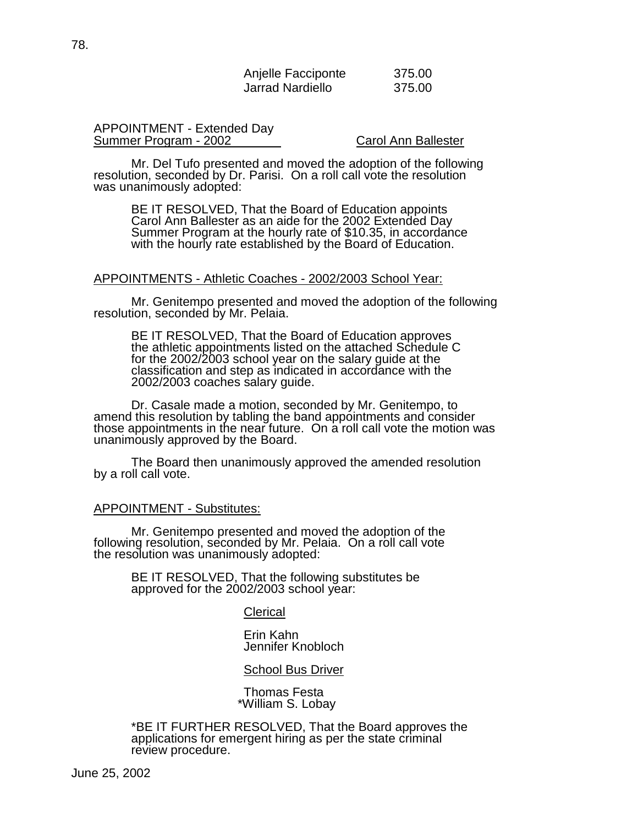| Anjelle Facciponte | 375.00 |
|--------------------|--------|
| Jarrad Nardiello   | 375.00 |

 Mr. Del Tufo presented and moved the adoption of the following resolution, seconded by Dr. Parisi. On a roll call vote the resolution was unanimously adopted:

BE IT RESOLVED, That the Board of Education appoints Carol Ann Ballester as an aide for the 2002 Extended Day Summer Program at the hourly rate of \$10.35, in accordance with the hourly rate established by the Board of Education.

#### APPOINTMENTS - Athletic Coaches - 2002/2003 School Year: ٦

 Mr. Genitempo presented and moved the adoption of the following resolution, seconded by Mr. Pelaia.

BE IT RESOLVED, That the Board of Education approves the athletic appointments listed on the attached Schedule C for the 2002/2003 school year on the salary guide at the classification and step as indicated in accordance with the 2002/2003 coaches salary guide.

Dr. Casale made a motion, seconded by Mr. Genitempo, to amend this resolution by tabling the band appointments and consider those appointments in the near future. On a roll call vote the motion was unanimously approved by the Board.

 The Board then unanimously approved the amended resolution by a roll call vote.

#### APPOINTMENT - Substitutes:

 Mr. Genitempo presented and moved the adoption of the following resolution, seconded by Mr. Pelaia. On a roll call vote the resolution was unanimously adopted:

 BE IT RESOLVED, That the following substitutes be approved for the 2002/2003 school year:

#### Clerical

 Erin Kahn Jennifer Knobloch

#### School Bus Driver

 Thomas Festa \*William S. Lobay

 \*BE IT FURTHER RESOLVED, That the Board approves the applications for emergent hiring as per the state criminal review procedure.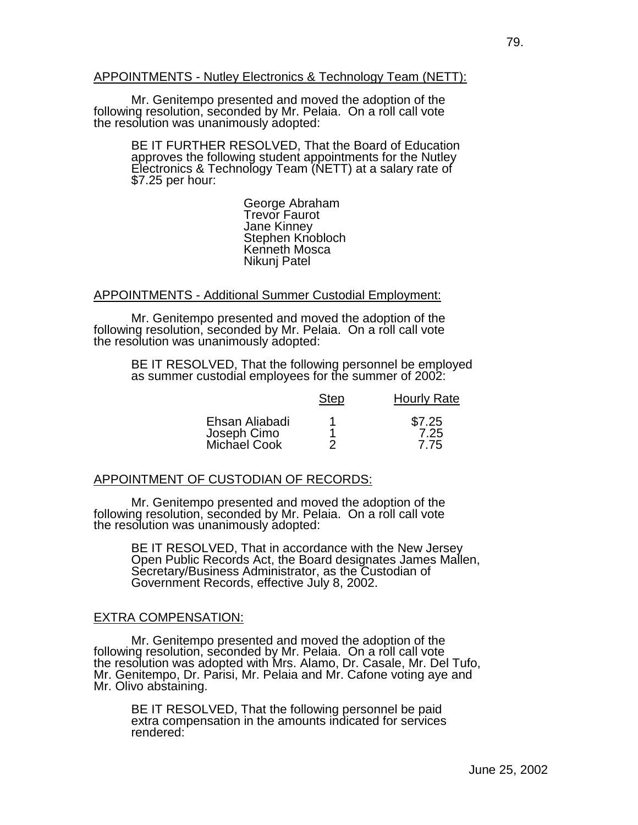# APPOINTMENTS - Nutley Electronics & Technology Team (NETT):

٦ Mr. Genitempo presented and moved the adoption of the following resolution, seconded by Mr. Pelaia. On a roll call vote the resolution was unanimously adopted:

> BE IT FURTHER RESOLVED, That the Board of Education approves the following student appointments for the Nutley Electronics & Technology Team (NETT) at a salary rate of \$7.25 per hour:

 George Abraham **Trevor Faurot** Free Contract Trevor Faurot Jane Kinney Stephen Knobloch Kenneth Mosca Nikunj Patel

# APPOINTMENTS - Additional Summer Custodial Employment:

 Mr. Genitempo presented and moved the adoption of the following resolution, seconded by Mr. Pelaia. On a roll call vote the resolution was unanimously adopted:

> BE IT RESOLVED, That the following personnel be employed as summer custodial employees for the summer of 2002:

|                             | <b>Step</b> | <b>Hourly Rate</b> |
|-----------------------------|-------------|--------------------|
| Ehsan Aliabadi              |             | \$7.25             |
| Joseph Cimo<br>Michael Cook |             | 7.25               |
|                             |             | 7.75               |

# APPOINTMENT OF CUSTODIAN OF RECORDS:

 Mr. Genitempo presented and moved the adoption of the following resolution, seconded by Mr. Pelaia. On a roll call vote the resolution was unanimously adopted:

> BE IT RESOLVED, That in accordance with the New Jersey Open Public Records Act, the Board designates James Mallen, Secretary/Business Administrator, as the Custodian of Government Records, effective July 8, 2002.

# EXTRA COMPENSATION:

 Mr. Genitempo presented and moved the adoption of the following resolution, seconded by Mr. Pelaia. On a roll call vote the resolution was adopted with Mrs. Alamo, Dr. Casale, Mr. Del Tufo, Mr. Genitempo, Dr. Parisi, Mr. Pelaia and Mr. Cafone voting aye and Mr. Olivo abstaining.

BE IT RESOLVED, That the following personnel be paid extra compensation in the amounts indicated for services rendered: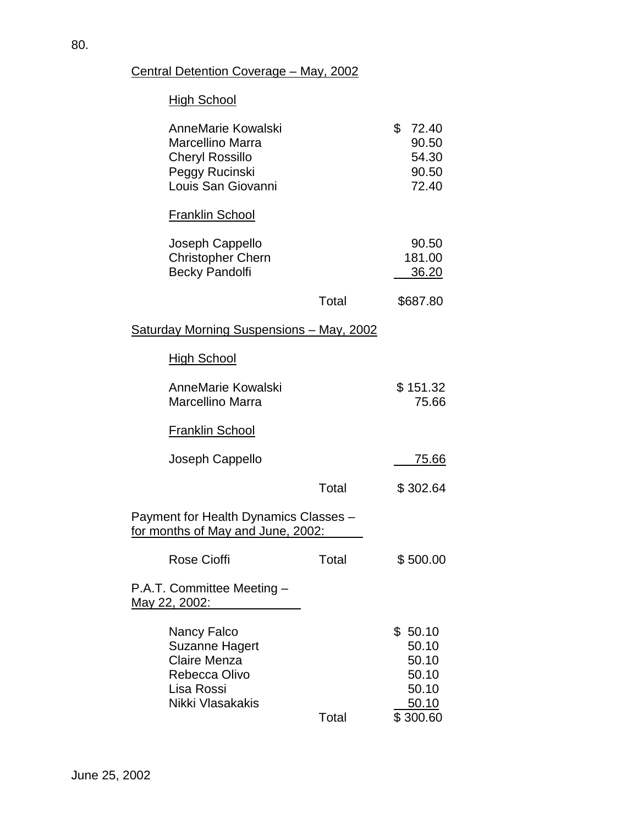# Central Detention Coverage – May, 2002

# **High School**

| <b>AnneMarie Kowalski</b><br>Marcellino Marra<br><b>Cheryl Rossillo</b><br>Peggy Rucinski<br>Louis San Giovanni |       | \$<br>72.40<br>90.50<br>54.30<br>90.50<br>72.40                         |
|-----------------------------------------------------------------------------------------------------------------|-------|-------------------------------------------------------------------------|
| <b>Franklin School</b>                                                                                          |       |                                                                         |
| Joseph Cappello<br><b>Christopher Chern</b><br><b>Becky Pandolfi</b>                                            |       | 90.50<br>181.00<br>36.20                                                |
|                                                                                                                 | Total | \$687.80                                                                |
| <u> Saturday Morning Suspensions – May, 2002</u>                                                                |       |                                                                         |
| <b>High School</b>                                                                                              |       |                                                                         |
| AnneMarie Kowalski<br><b>Marcellino Marra</b>                                                                   |       | \$151.32<br>75.66                                                       |
| <b>Franklin School</b>                                                                                          |       |                                                                         |
| Joseph Cappello                                                                                                 |       | <u>75.66</u>                                                            |
|                                                                                                                 | Total | \$302.64                                                                |
| Payment for Health Dynamics Classes -<br>for months of May and June, 2002:                                      |       |                                                                         |
| <b>Rose Cioffi</b>                                                                                              | Total | \$500.00                                                                |
| P.A.T. Committee Meeting -<br>May 22, 2002:                                                                     |       |                                                                         |
| Nancy Falco<br><b>Suzanne Hagert</b><br><b>Claire Menza</b><br>Rebecca Olivo<br>Lisa Rossi<br>Nikki Vlasakakis  | Total | \$50.10<br>50.10<br>50.10<br>50.10<br>50.10<br><u>50.10</u><br>\$300.60 |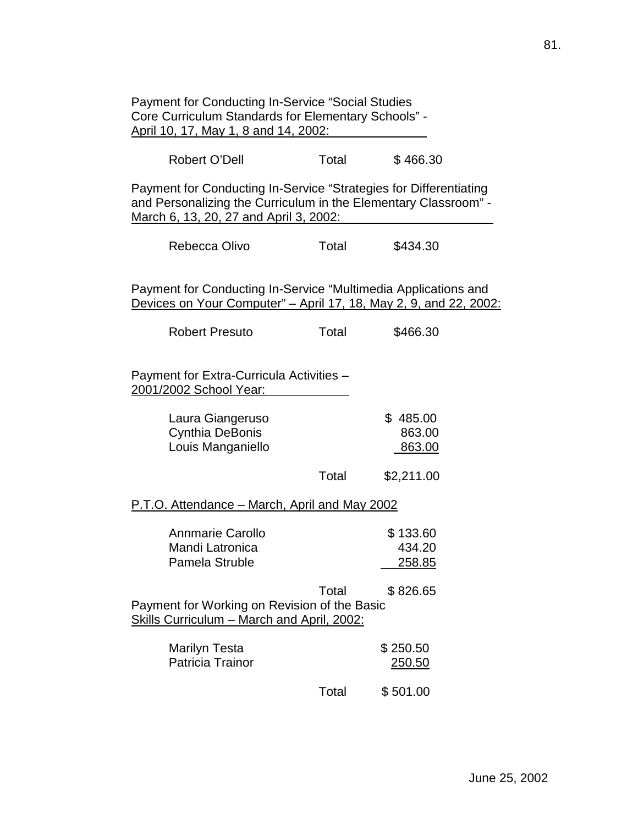| <b>Payment for Conducting In-Service "Social Studies</b><br>Core Curriculum Standards for Elementary Schools" -<br>April 10, 17, May 1, 8 and 14, 2002:                        |       |                                      |
|--------------------------------------------------------------------------------------------------------------------------------------------------------------------------------|-------|--------------------------------------|
| Robert O'Dell                                                                                                                                                                  | Total | \$466.30                             |
| Payment for Conducting In-Service "Strategies for Differentiating<br>and Personalizing the Curriculum in the Elementary Classroom" -<br>March 6, 13, 20, 27 and April 3, 2002: |       |                                      |
| Rebecca Olivo                                                                                                                                                                  | Total | \$434.30                             |
| Payment for Conducting In-Service "Multimedia Applications and<br>Devices on Your Computer" – April 17, 18, May 2, 9, and 22, 2002:                                            |       |                                      |
| <b>Robert Presuto</b>                                                                                                                                                          | Total | \$466.30                             |
| Payment for Extra-Curricula Activities -<br>2001/2002 School Year:                                                                                                             |       |                                      |
| Laura Giangeruso<br>Cynthia DeBonis<br>Louis Manganiello                                                                                                                       |       | \$485.00<br>863.00<br>863.00         |
|                                                                                                                                                                                | Total | \$2,211.00                           |
| P.T.O. Attendance – March, April and May 2002                                                                                                                                  |       |                                      |
| <b>Annmarie Carollo</b><br>Mandi Latronica<br>Pamela Struble                                                                                                                   |       | \$133.60<br>434.20<br><u> 258.85</u> |
| Payment for Working on Revision of the Basic<br>Skills Curriculum - March and April, 2002:                                                                                     | Total | \$826.65                             |
| <b>Marilyn Testa</b><br><b>Patricia Trainor</b>                                                                                                                                |       | \$250.50<br><u>250.50</u>            |
|                                                                                                                                                                                | Total | \$501.00                             |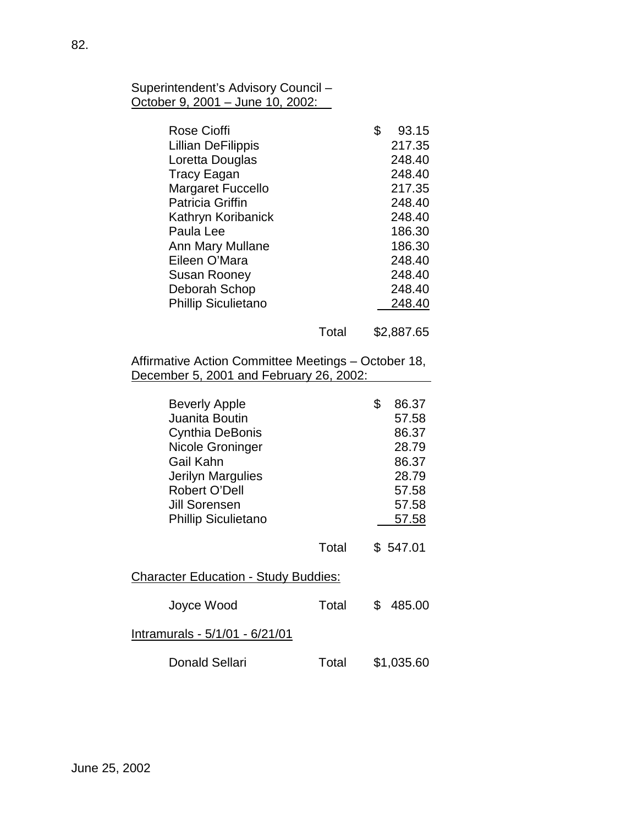# Superintendent's Advisory Council – October 9, 2001 – June 10, 2002:

| <b>Rose Cioffi</b>         | \$<br>93.15 |
|----------------------------|-------------|
| Lillian DeFilippis         | 217.35      |
| Loretta Douglas            | 248.40      |
| <b>Tracy Eagan</b>         | 248.40      |
| <b>Margaret Fuccello</b>   | 217.35      |
| <b>Patricia Griffin</b>    | 248.40      |
| Kathryn Koribanick         | 248.40      |
| Paula Lee                  | 186.30      |
| Ann Mary Mullane           | 186.30      |
| Eileen O'Mara              | 248.40      |
| <b>Susan Rooney</b>        | 248.40      |
| Deborah Schop              | 248.40      |
| <b>Phillip Siculietano</b> | 248.40      |
| Total                      | \$2,887.65  |

 Affirmative Action Committee Meetings – October 18, December 5, 2001 and February 26, 2002:

| <b>Beverly Apple</b><br>Juanita Boutin<br>Cynthia DeBonis<br>Nicole Groninger<br>Gail Kahn<br>Jerilyn Margulies<br>Robert O'Dell<br>Jill Sorensen<br><b>Phillip Siculietano</b> |       | \$  | 86.37<br>57.58<br>86.37<br>28.79<br>86.37<br>28.79<br>57.58<br>57.58<br>57.58 |
|---------------------------------------------------------------------------------------------------------------------------------------------------------------------------------|-------|-----|-------------------------------------------------------------------------------|
|                                                                                                                                                                                 | Total |     | \$547.01                                                                      |
| <b>Character Education - Study Buddies:</b>                                                                                                                                     |       |     |                                                                               |
| Joyce Wood                                                                                                                                                                      | Total | \$. | 485.00                                                                        |
| Intramurals - 5/1/01 - 6/21/01                                                                                                                                                  |       |     |                                                                               |
| Donald Sellari                                                                                                                                                                  | Total |     | \$1,035.60                                                                    |

82.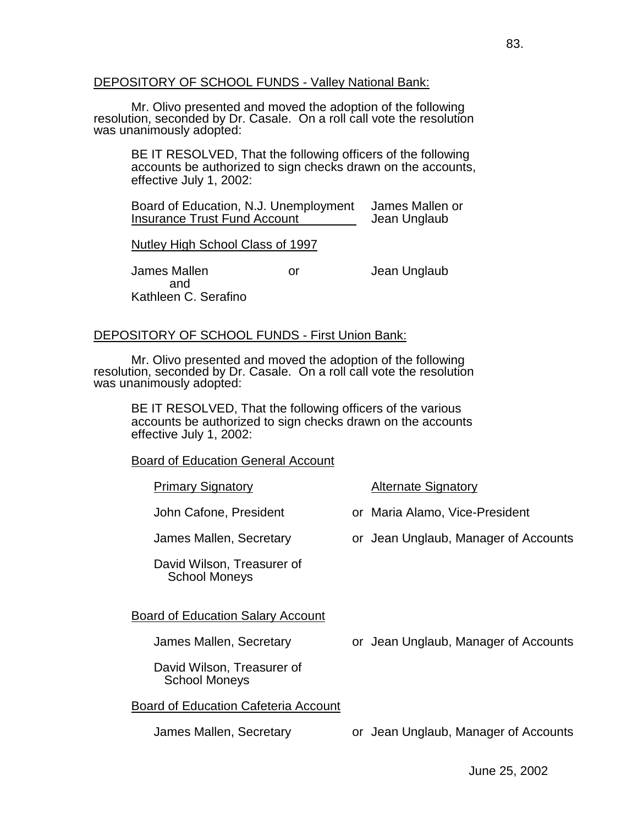# DEPOSITORY OF SCHOOL FUNDS - Valley National Bank:

 Mr. Olivo presented and moved the adoption of the following resolution, seconded by Dr. Casale. On a roll call vote the resolution was unanimously adopted:

BE IT RESOLVED, That the following officers of the following accounts be authorized to sign checks drawn on the accounts, effective July 1, 2002:

Board of Education, N.J. Unemployment James Mallen or Insurance Trust Fund Account **Fund Account** Jean Unglaub

Nutley High School Class of 1997

James Mallen or Jean Unglaub and Kathleen C. Serafino

# DEPOSITORY OF SCHOOL FUNDS - First Union Bank:

 Mr. Olivo presented and moved the adoption of the following resolution, seconded by Dr. Casale. On a roll call vote the resolution was unanimously adopted:

BE IT RESOLVED, That the following officers of the various accounts be authorized to sign checks drawn on the accounts effective July 1, 2002:

|  | <b>Board of Education General Account</b> |  |
|--|-------------------------------------------|--|
|--|-------------------------------------------|--|

| <b>Primary Signatory</b>                           | <b>Alternate Signatory</b>           |
|----------------------------------------------------|--------------------------------------|
| John Cafone, President                             | or Maria Alamo, Vice-President       |
| James Mallen, Secretary                            | or Jean Unglaub, Manager of Accounts |
| David Wilson, Treasurer of<br><b>School Moneys</b> |                                      |
| Board of Education Salary Account                  |                                      |
| James Mallen, Secretary                            | or Jean Unglaub, Manager of Accounts |
| David Wilson, Treasurer of<br><b>School Moneys</b> |                                      |
| <b>Board of Education Cafeteria Account</b>        |                                      |
| James Mallen, Secretary                            | or Jean Unglaub, Manager of Accounts |
|                                                    |                                      |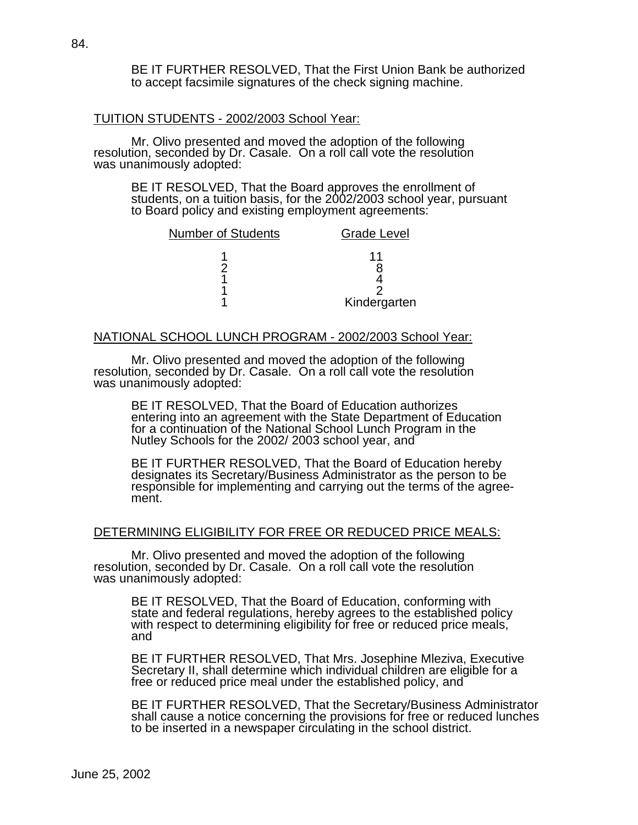BE IT FURTHER RESOLVED, That the First Union Bank be authorized to accept facsimile signatures of the check signing machine.

### TUITION STUDENTS - 2002/2003 School Year:

 Mr. Olivo presented and moved the adoption of the following resolution, seconded by Dr. Casale. On a roll call vote the resolution was unanimously adopted:

BE IT RESOLVED, That the Board approves the enrollment of students, on a tuition basis, for the 2002/2003 school year, pursuant to Board policy and existing employment agreements:

| <b>Number of Students</b> | <b>Grade Level</b> |
|---------------------------|--------------------|
|                           |                    |
|                           |                    |
|                           | Kindergarten       |

### NATIONAL SCHOOL LUNCH PROGRAM - 2002/2003 School Year:

 Mr. Olivo presented and moved the adoption of the following resolution, seconded by Dr. Casale. On a roll call vote the resolution was unanimously adopted:

BE IT RESOLVED, That the Board of Education authorizes entering into an agreement with the State Department of Education for a continuation of the National School Lunch Program in the Nutley Schools for the 2002/ 2003 school year, and

BE IT FURTHER RESOLVED, That the Board of Education hereby designates its Secretary/Business Administrator as the person to be responsible for implementing and carrying out the terms of the agreement.

#### DETERMINING ELIGIBILITY FOR FREE OR REDUCED PRICE MEALS:

 Mr. Olivo presented and moved the adoption of the following resolution, seconded by Dr. Casale. On a roll call vote the resolution was unanimously adopted:

BE IT RESOLVED, That the Board of Education, conforming with state and federal regulations, hereby agrees to the established policy with respect to determining eligibility for free or reduced price meals, and

BE IT FURTHER RESOLVED, That Mrs. Josephine Mleziva, Executive Secretary II, shall determine which individual children are eligible for a free or reduced price meal under the established policy, and

BE IT FURTHER RESOLVED, That the Secretary/Business Administrator shall cause a notice concerning the provisions for free or reduced lunches to be inserted in a newspaper circulating in the school district.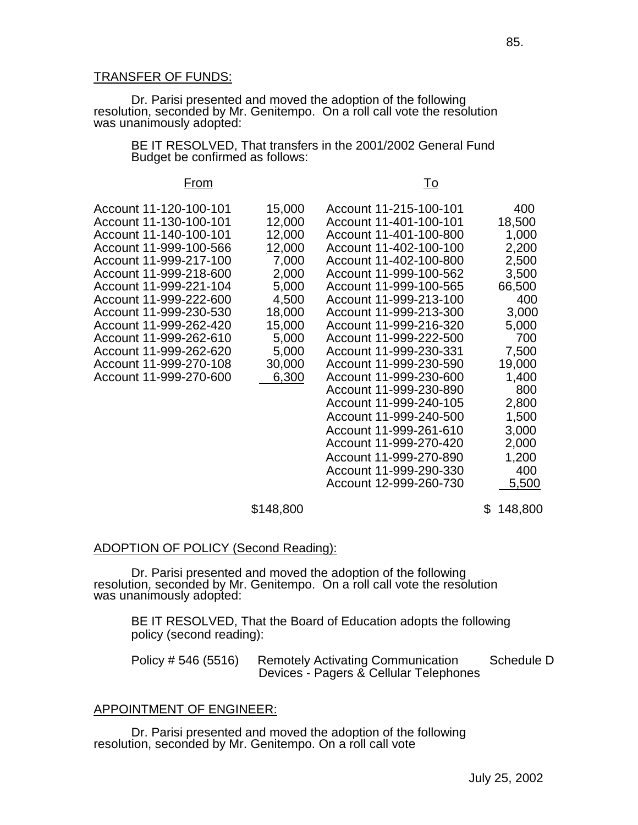# TRANSFER OF FUNDS:

 Dr. Parisi presented and moved the adoption of the following resolution, seconded by Mr. Genitempo. On a roll call vote the resolution was unanimously adopted:

 BE IT RESOLVED, That transfers in the 2001/2002 General Fund Budget be confirmed as follows:

# From To

Account 12-999-260-730 5,500

| Account 11-120-100-101 | 15,000 | Account 11-215-100-101 | 400    |
|------------------------|--------|------------------------|--------|
| Account 11-130-100-101 | 12,000 | Account 11-401-100-101 | 18,500 |
| Account 11-140-100-101 | 12,000 | Account 11-401-100-800 | 1,000  |
| Account 11-999-100-566 | 12,000 | Account 11-402-100-100 | 2,200  |
| Account 11-999-217-100 | 7,000  | Account 11-402-100-800 | 2,500  |
| Account 11-999-218-600 | 2,000  | Account 11-999-100-562 | 3,500  |
| Account 11-999-221-104 | 5,000  | Account 11-999-100-565 | 66,500 |
| Account 11-999-222-600 | 4,500  | Account 11-999-213-100 | 400    |
| Account 11-999-230-530 | 18,000 | Account 11-999-213-300 | 3,000  |
| Account 11-999-262-420 | 15,000 | Account 11-999-216-320 | 5,000  |
| Account 11-999-262-610 | 5,000  | Account 11-999-222-500 | 700    |
| Account 11-999-262-620 | 5,000  | Account 11-999-230-331 | 7,500  |
| Account 11-999-270-108 | 30,000 | Account 11-999-230-590 | 19,000 |
| Account 11-999-270-600 | 6,300  | Account 11-999-230-600 | 1,400  |
|                        |        | Account 11-999-230-890 | 800    |
|                        |        | Account 11-999-240-105 | 2,800  |
|                        |        | Account 11-999-240-500 | 1,500  |
|                        |        | Account 11-999-261-610 | 3,000  |
|                        |        | Account 11-999-270-420 | 2,000  |
|                        |        | Account 11-999-270-890 | 1,200  |
|                        |        | Account 11-999-290-330 | 400    |

\$148,800 \$148,800

# ADOPTION OF POLICY (Second Reading):

 Dr. Parisi presented and moved the adoption of the following resolution, seconded by Mr. Genitempo. On a roll call vote the resolution was unanimously adopted:

BE IT RESOLVED, That the Board of Education adopts the following policy (second reading):

| Policy # 546 (5516) | <b>Remotely Activating Communication</b> | Schedule D |
|---------------------|------------------------------------------|------------|
|                     | Devices - Pagers & Cellular Telephones   |            |

# APPOINTMENT OF ENGINEER:

 Dr. Parisi presented and moved the adoption of the following resolution, seconded by Mr. Genitempo. On a roll call vote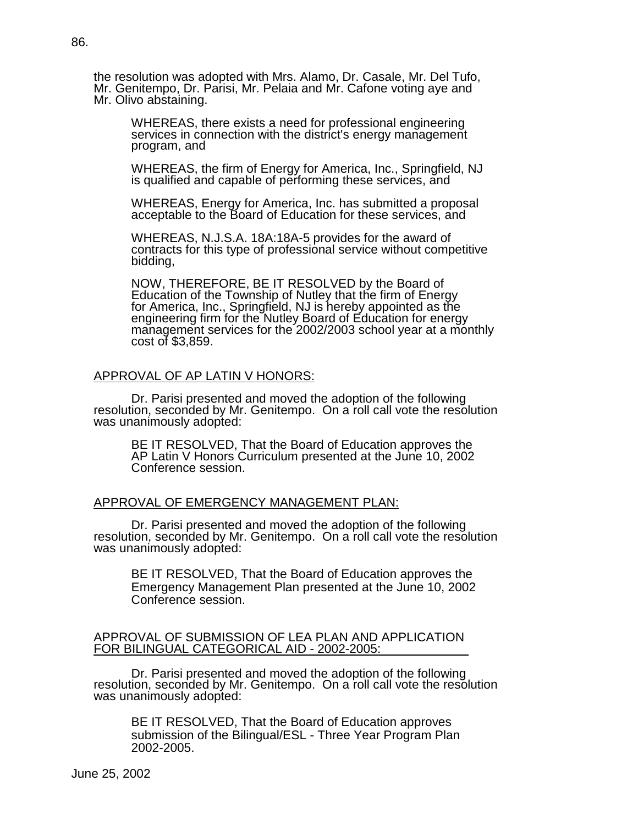the resolution was adopted with Mrs. Alamo, Dr. Casale, Mr. Del Tufo, Mr. Genitempo, Dr. Parisi, Mr. Pelaia and Mr. Cafone voting aye and Mr. Olivo abstaining.

WHEREAS, there exists a need for professional engineering services in connection with the district's energy management program, and

WHEREAS, the firm of Energy for America, Inc., Springfield, NJ is qualified and capable of performing these services, and

WHEREAS, Energy for America, Inc. has submitted a proposal acceptable to the Board of Education for these services, and

WHEREAS, N.J.S.A. 18A:18A-5 provides for the award of contracts for this type of professional service without competitive bidding,

NOW, THEREFORE, BE IT RESOLVED by the Board of Education of the Township of Nutley that the firm of Energy for America, Inc., Springfield, NJ is hereby appointed as the engineering firm for the Nutley Board of Education for energy management services for the 2002/2003 school year at a monthly cost of \$3,859.

#### APPROVAL OF AP LATIN V HONORS:

 Dr. Parisi presented and moved the adoption of the following resolution, seconded by Mr. Genitempo. On a roll call vote the resolution was unanimously adopted:

BE IT RESOLVED, That the Board of Education approves the AP Latin V Honors Curriculum presented at the June 10, 2002 Conference session.

#### APPROVAL OF EMERGENCY MANAGEMENT PLAN:

 Dr. Parisi presented and moved the adoption of the following resolution, seconded by Mr. Genitempo. On a roll call vote the resolution was unanimously adopted:

BE IT RESOLVED, That the Board of Education approves the Emergency Management Plan presented at the June 10, 2002 Conference session.

#### APPROVAL OF SUBMISSION OF LEA PLAN AND APPLICATION FOR BILINGUAL CATEGORICAL AID - 2002-2005:

 Dr. Parisi presented and moved the adoption of the following resolution, seconded by Mr. Genitempo. On a roll call vote the resolution was unanimously adopted:

BE IT RESOLVED, That the Board of Education approves submission of the Bilingual/ESL - Three Year Program Plan 2002-2005.

86.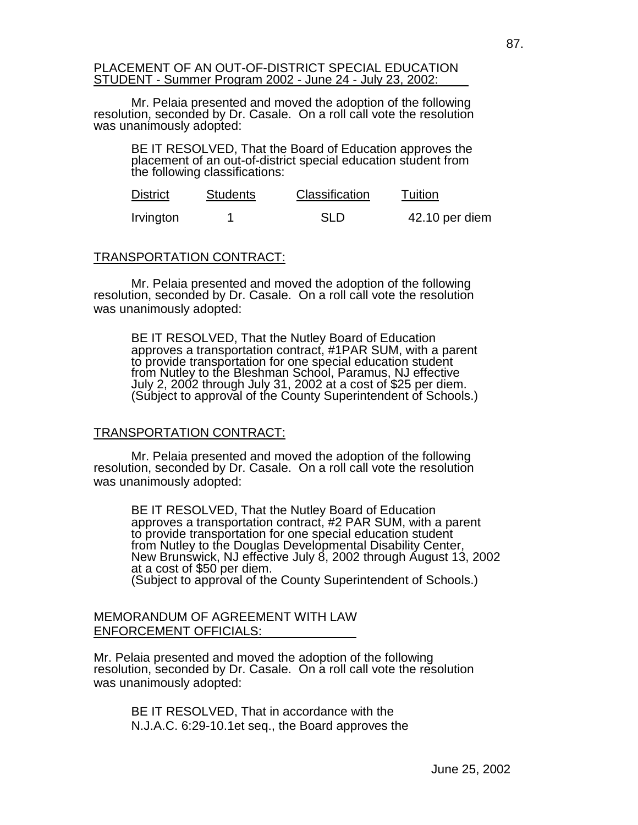### PLACEMENT OF AN OUT-OF-DISTRICT SPECIAL EDUCATION STUDENT - Summer Program 2002 - June 24 - July 23, 2002:

 Mr. Pelaia presented and moved the adoption of the following resolution, seconded by Dr. Casale. On a roll call vote the resolution was unanimously adopted:

BE IT RESOLVED, That the Board of Education approves the placement of an out-of-district special education student from the following classifications:

| <b>District</b> | <b>Students</b> | Classification | Tuition        |
|-----------------|-----------------|----------------|----------------|
| Irvington       |                 | SLD            | 42.10 per diem |

# TRANSPORTATION CONTRACT:

 Mr. Pelaia presented and moved the adoption of the following resolution, seconded by Dr. Casale. On a roll call vote the resolution was unanimously adopted:

BE IT RESOLVED, That the Nutley Board of Education approves a transportation contract, #1PAR SUM, with a parent to provide transportation for one special education student from Nutley to the Bleshman School, Paramus, NJ effective July 2, 2002 through July 31, 2002 at a cost of \$25 per diem. (Subject to approval of the County Superintendent of Schools.)

# TRANSPORTATION CONTRACT:

 Mr. Pelaia presented and moved the adoption of the following resolution, seconded by Dr. Casale. On a roll call vote the resolution was unanimously adopted:

BE IT RESOLVED, That the Nutley Board of Education approves a transportation contract, #2 PAR SUM, with a parent to provide transportation for one special education student from Nutley to the Douglas Developmental Disability Center, New Brunswick, NJ effective July 8, 2002 through August 13, 2002 at a cost of \$50 per diem. (Subject to approval of the County Superintendent of Schools.)

MEMORANDUM OF AGREEMENT WITH LAW ENFORCEMENT OFFICIALS:

Mr. Pelaia presented and moved the adoption of the following resolution, seconded by Dr. Casale. On a roll call vote the resolution was unanimously adopted:

 BE IT RESOLVED, That in accordance with the N.J.A.C. 6:29-10.1et seq., the Board approves the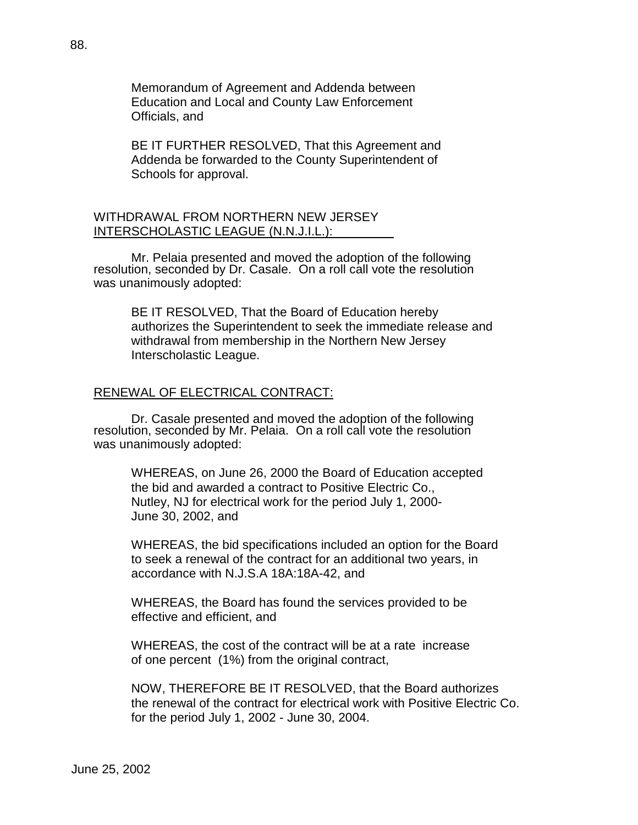Memorandum of Agreement and Addenda between Education and Local and County Law Enforcement Officials, and

 BE IT FURTHER RESOLVED, That this Agreement and Addenda be forwarded to the County Superintendent of Schools for approval.

# WITHDRAWAL FROM NORTHERN NEW JERSEY INTERSCHOLASTIC LEAGUE (N.N.J.I.L.):

 Mr. Pelaia presented and moved the adoption of the following resolution, seconded by Dr. Casale. On a roll call vote the resolution was unanimously adopted:

 BE IT RESOLVED, That the Board of Education hereby authorizes the Superintendent to seek the immediate release and withdrawal from membership in the Northern New Jersey Interscholastic League.

# RENEWAL OF ELECTRICAL CONTRACT:

 Dr. Casale presented and moved the adoption of the following resolution, seconded by Mr. Pelaia. On a roll call vote the resolution was unanimously adopted:

WHEREAS, on June 26, 2000 the Board of Education accepted the bid and awarded a contract to Positive Electric Co., Nutley, NJ for electrical work for the period July 1, 2000- June 30, 2002, and

WHEREAS, the bid specifications included an option for the Board to seek a renewal of the contract for an additional two years, in accordance with N.J.S.A 18A:18A-42, and

WHEREAS, the Board has found the services provided to be effective and efficient, and

WHEREAS, the cost of the contract will be at a rate increase of one percent (1%) from the original contract,

NOW, THEREFORE BE IT RESOLVED, that the Board authorizes the renewal of the contract for electrical work with Positive Electric Co. for the period July 1, 2002 - June 30, 2004.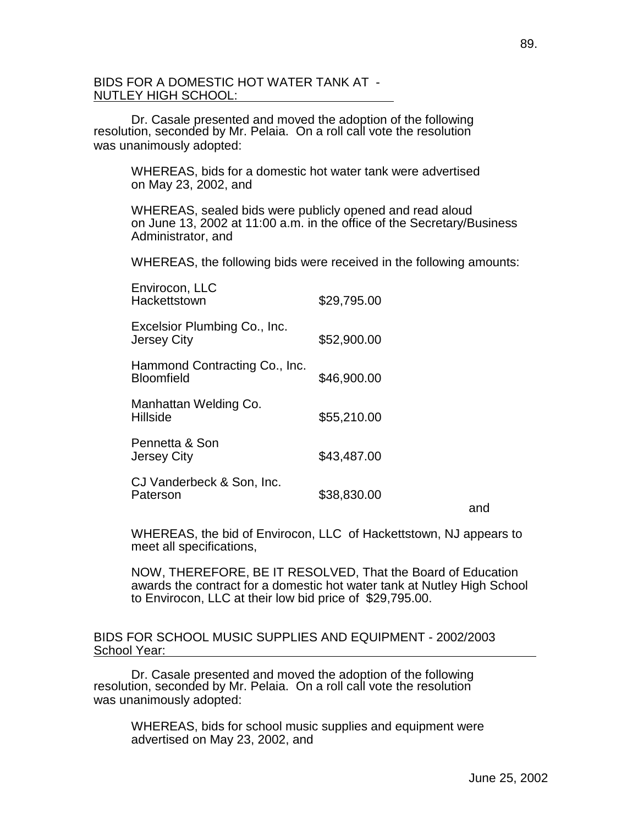# BIDS FOR A DOMESTIC HOT WATER TANK AT - NUTLEY HIGH SCHOOL:

 Dr. Casale presented and moved the adoption of the following resolution, seconded by Mr. Pelaia. On a roll call vote the resolution was unanimously adopted:

WHEREAS, bids for a domestic hot water tank were advertised on May 23, 2002, and

WHEREAS, sealed bids were publicly opened and read aloud on June 13, 2002 at 11:00 a.m. in the office of the Secretary/Business Administrator, and

WHEREAS, the following bids were received in the following amounts:

| Envirocon, LLC<br>Hackettstown                     | \$29,795.00 |     |
|----------------------------------------------------|-------------|-----|
| Excelsior Plumbing Co., Inc.<br><b>Jersey City</b> | \$52,900.00 |     |
| Hammond Contracting Co., Inc.<br><b>Bloomfield</b> | \$46,900.00 |     |
| Manhattan Welding Co.<br><b>Hillside</b>           | \$55,210.00 |     |
| Pennetta & Son<br><b>Jersey City</b>               | \$43,487.00 |     |
| CJ Vanderbeck & Son, Inc.<br>Paterson              | \$38,830.00 | and |
|                                                    |             |     |

WHEREAS, the bid of Envirocon, LLC of Hackettstown, NJ appears to meet all specifications,

NOW, THEREFORE, BE IT RESOLVED, That the Board of Education awards the contract for a domestic hot water tank at Nutley High School to Envirocon, LLC at their low bid price of \$29,795.00.

BIDS FOR SCHOOL MUSIC SUPPLIES AND EQUIPMENT - 2002/2003 School Year:

 Dr. Casale presented and moved the adoption of the following resolution, seconded by Mr. Pelaia. On a roll call vote the resolution was unanimously adopted:

 WHEREAS, bids for school music supplies and equipment were advertised on May 23, 2002, and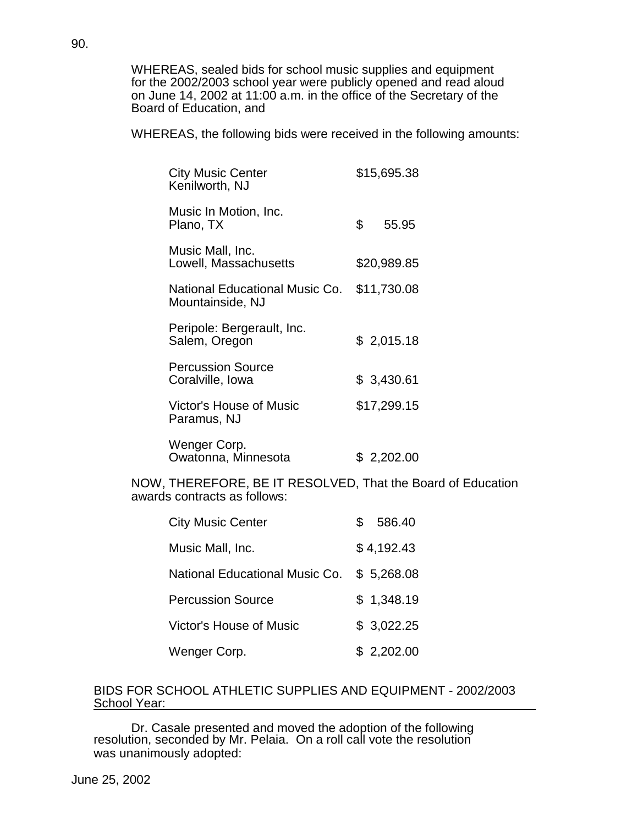WHEREAS, sealed bids for school music supplies and equipment for the 2002/2003 school year were publicly opened and read aloud on June 14, 2002 at 11:00 a.m. in the office of the Secretary of the Board of Education, and

WHEREAS, the following bids were received in the following amounts:

| <b>City Music Center</b><br>Kenilworth, NJ         | \$15,695.38 |
|----------------------------------------------------|-------------|
| Music In Motion, Inc.<br>Plano, TX                 | \$<br>55.95 |
| Music Mall, Inc.<br>Lowell, Massachusetts          | \$20,989.85 |
| National Educational Music Co.<br>Mountainside, NJ | \$11,730.08 |
| Peripole: Bergerault, Inc.<br>Salem, Oregon        | \$2,015.18  |
| <b>Percussion Source</b><br>Coralville, Iowa       | \$3,430.61  |
| Victor's House of Music<br>Paramus, NJ             | \$17,299.15 |
| Wenger Corp.<br>Owatonna, Minnesota                | \$2,202.00  |

 NOW, THEREFORE, BE IT RESOLVED, That the Board of Education awards contracts as follows:

| <b>City Music Center</b>       | S.<br>586.40 |
|--------------------------------|--------------|
| Music Mall, Inc.               | \$4,192.43   |
| National Educational Music Co. | \$5,268.08   |
| <b>Percussion Source</b>       | \$1,348.19   |
| Victor's House of Music        | \$3,022.25   |
| Wenger Corp.                   | \$2,202.00   |

# BIDS FOR SCHOOL ATHLETIC SUPPLIES AND EQUIPMENT - 2002/2003 School Year:

 Dr. Casale presented and moved the adoption of the following resolution, seconded by Mr. Pelaia. On a roll call vote the resolution was unanimously adopted: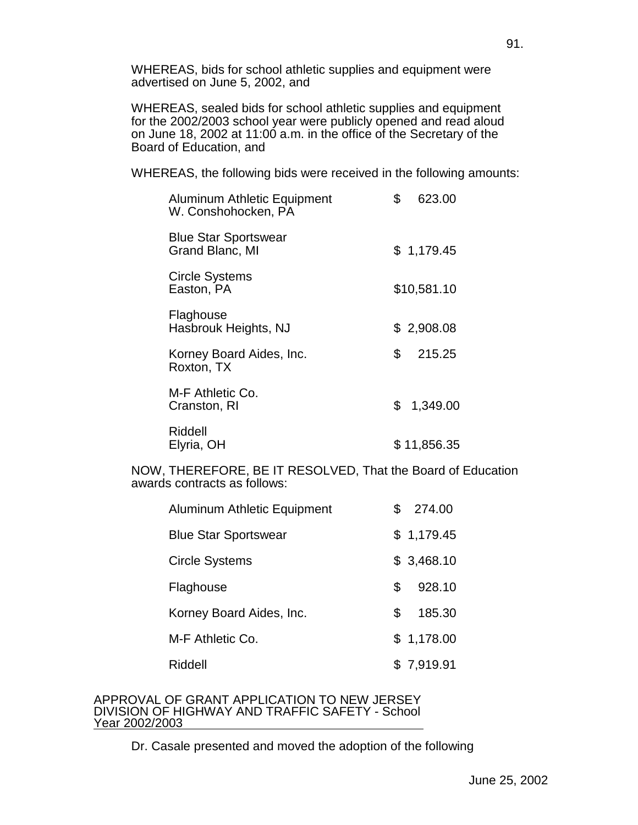WHEREAS, bids for school athletic supplies and equipment were advertised on June 5, 2002, and

 WHEREAS, sealed bids for school athletic supplies and equipment for the 2002/2003 school year were publicly opened and read aloud on June 18, 2002 at 11:00 a.m. in the office of the Secretary of the Board of Education, and

WHEREAS, the following bids were received in the following amounts:

| Aluminum Athletic Equipment<br>W. Conshohocken, PA | \$<br>623.00   |
|----------------------------------------------------|----------------|
| <b>Blue Star Sportswear</b><br>Grand Blanc, MI     | \$1,179.45     |
| <b>Circle Systems</b><br>Easton, PA                | \$10,581.10    |
| Flaghouse<br>Hasbrouk Heights, NJ                  | \$2,908.08     |
| Korney Board Aides, Inc.<br>Roxton, TX             | \$<br>215.25   |
| M-F Athletic Co.<br>Cranston, RI                   | \$<br>1,349.00 |
| Riddell<br>Elyria, OH                              | \$11,856.35    |

 NOW, THEREFORE, BE IT RESOLVED, That the Board of Education awards contracts as follows:

| Aluminum Athletic Equipment | \$<br>274.00 |
|-----------------------------|--------------|
| <b>Blue Star Sportswear</b> | \$1,179.45   |
| <b>Circle Systems</b>       | \$3,468.10   |
| Flaghouse                   | \$<br>928.10 |
| Korney Board Aides, Inc.    | \$<br>185.30 |
| M-F Athletic Co.            | \$1,178.00   |
| Riddell                     | \$7,919.91   |

APPROVAL OF GRANT APPLICATION TO NEW JERSEY DIVISION OF HIGHWAY AND TRAFFIC SAFETY - School Year 2002/2003

Dr. Casale presented and moved the adoption of the following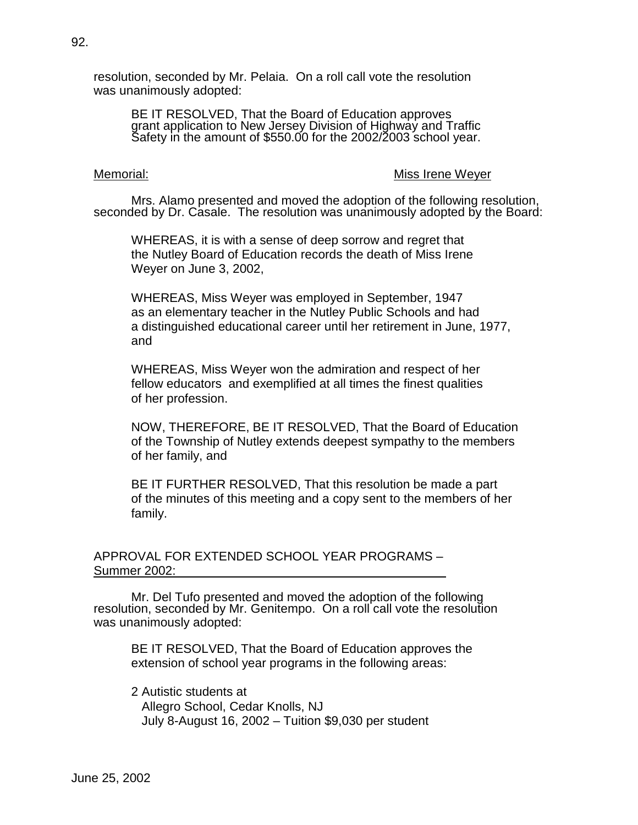resolution, seconded by Mr. Pelaia. On a roll call vote the resolution was unanimously adopted:

BE IT RESOLVED, That the Board of Education approves grant application to New Jersey Division of Highway and Traffic Safety in the amount of \$550.00 for the 2002/2003 school year.

### Memorial: Moreover Miss Irene Weyer

 Mrs. Alamo presented and moved the adoption of the following resolution, seconded by Dr. Casale. The resolution was unanimously adopted by the Board:

WHEREAS, it is with a sense of deep sorrow and regret that the Nutley Board of Education records the death of Miss Irene Weyer on June 3, 2002,

 WHEREAS, Miss Weyer was employed in September, 1947 as an elementary teacher in the Nutley Public Schools and had a distinguished educational career until her retirement in June, 1977, and

WHEREAS, Miss Weyer won the admiration and respect of her fellow educators and exemplified at all times the finest qualities of her profession.

NOW, THEREFORE, BE IT RESOLVED, That the Board of Education of the Township of Nutley extends deepest sympathy to the members of her family, and

BE IT FURTHER RESOLVED, That this resolution be made a part of the minutes of this meeting and a copy sent to the members of her family.

# APPROVAL FOR EXTENDED SCHOOL YEAR PROGRAMS – Summer 2002:

 Mr. Del Tufo presented and moved the adoption of the following resolution, seconded by Mr. Genitempo. On a roll call vote the resolution was unanimously adopted:

BE IT RESOLVED, That the Board of Education approves the extension of school year programs in the following areas:

 2 Autistic students at Allegro School, Cedar Knolls, NJ July 8-August 16, 2002 – Tuition \$9,030 per student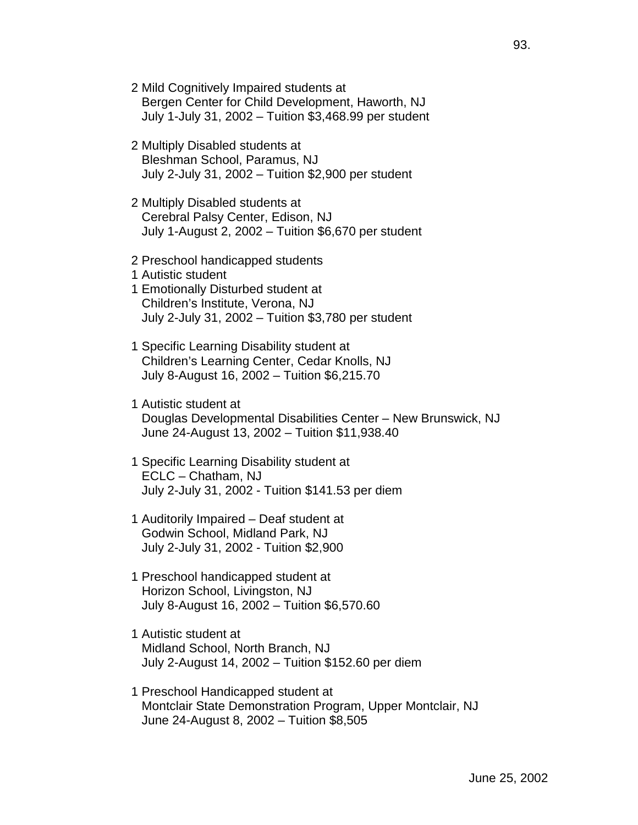- 2 Mild Cognitively Impaired students at Bergen Center for Child Development, Haworth, NJ July 1-July 31, 2002 – Tuition \$3,468.99 per student
- 2 Multiply Disabled students at Bleshman School, Paramus, NJ July 2-July 31, 2002 – Tuition \$2,900 per student
- 2 Multiply Disabled students at Cerebral Palsy Center, Edison, NJ July 1-August 2, 2002 – Tuition \$6,670 per student
- 2 Preschool handicapped students
- 1 Autistic student
- 1 Emotionally Disturbed student at Children's Institute, Verona, NJ July 2-July 31, 2002 – Tuition \$3,780 per student
- 1 Specific Learning Disability student at Children's Learning Center, Cedar Knolls, NJ July 8-August 16, 2002 – Tuition \$6,215.70
- 1 Autistic student at Douglas Developmental Disabilities Center – New Brunswick, NJ June 24-August 13, 2002 – Tuition \$11,938.40
- 1 Specific Learning Disability student at ECLC – Chatham, NJ July 2-July 31, 2002 - Tuition \$141.53 per diem
- 1 Auditorily Impaired Deaf student at Godwin School, Midland Park, NJ July 2-July 31, 2002 - Tuition \$2,900
- 1 Preschool handicapped student at Horizon School, Livingston, NJ July 8-August 16, 2002 – Tuition \$6,570.60
- 1 Autistic student at Midland School, North Branch, NJ July 2-August 14, 2002 – Tuition \$152.60 per diem
- 1 Preschool Handicapped student at Montclair State Demonstration Program, Upper Montclair, NJ June 24-August 8, 2002 – Tuition \$8,505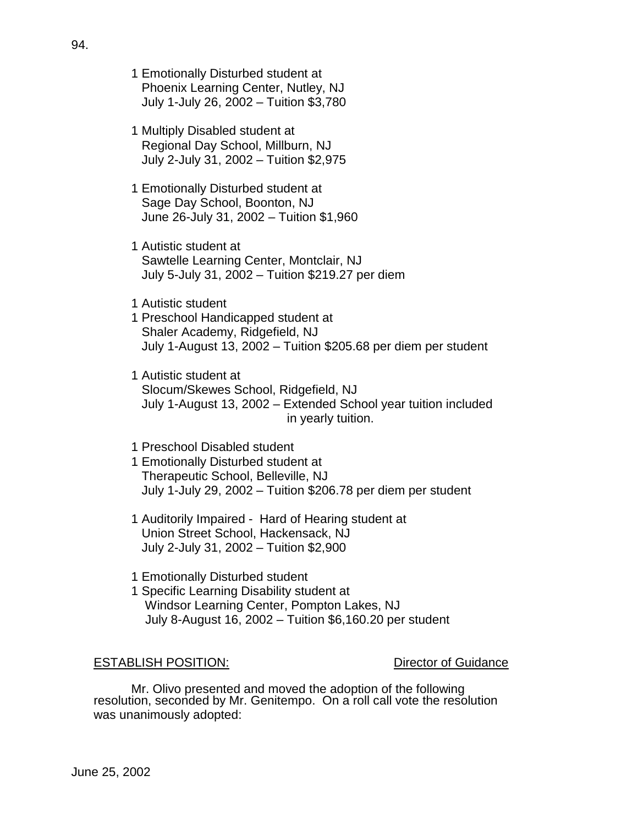- 1 Emotionally Disturbed student at Phoenix Learning Center, Nutley, NJ July 1-July 26, 2002 – Tuition \$3,780
- 1 Multiply Disabled student at Regional Day School, Millburn, NJ July 2-July 31, 2002 – Tuition \$2,975
- 1 Emotionally Disturbed student at Sage Day School, Boonton, NJ June 26-July 31, 2002 – Tuition \$1,960
- 1 Autistic student at Sawtelle Learning Center, Montclair, NJ July 5-July 31, 2002 – Tuition \$219.27 per diem
- 1 Autistic student 1 Preschool Handicapped student at Shaler Academy, Ridgefield, NJ July 1-August 13, 2002 – Tuition \$205.68 per diem per student
- 1 Autistic student at Slocum/Skewes School, Ridgefield, NJ July 1-August 13, 2002 – Extended School year tuition included in yearly tuition.
- 1 Preschool Disabled student 1 Emotionally Disturbed student at Therapeutic School, Belleville, NJ July 1-July 29, 2002 – Tuition \$206.78 per diem per student
- 1 Auditorily Impaired Hard of Hearing student at Union Street School, Hackensack, NJ July 2-July 31, 2002 – Tuition \$2,900
- 1 Emotionally Disturbed student 1 Specific Learning Disability student at Windsor Learning Center, Pompton Lakes, NJ July 8-August 16, 2002 – Tuition \$6,160.20 per student

# **ESTABLISH POSITION: ESTABLISH POSITION:**

 Mr. Olivo presented and moved the adoption of the following resolution, seconded by Mr. Genitempo. On a roll call vote the resolution was unanimously adopted: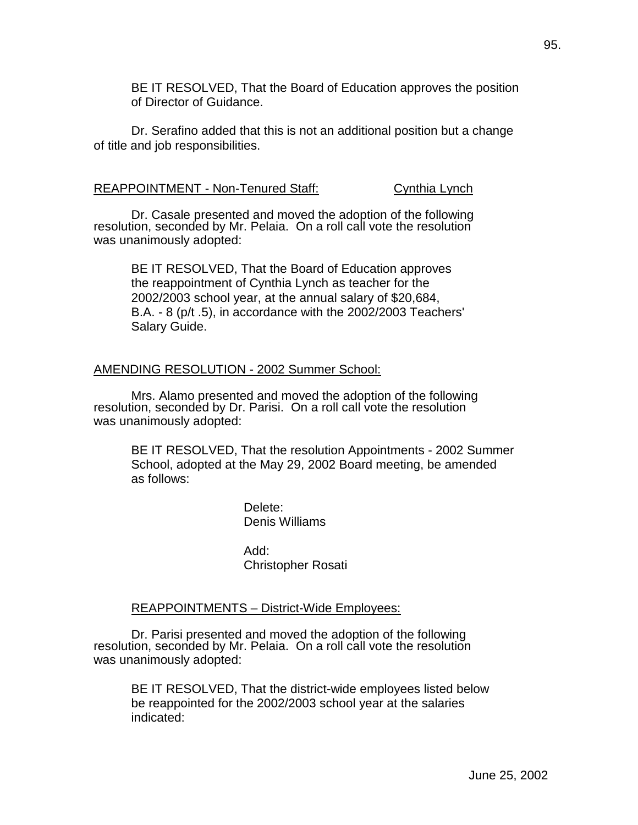BE IT RESOLVED, That the Board of Education approves the position of Director of Guidance.

 Dr. Serafino added that this is not an additional position but a change of title and job responsibilities.

# REAPPOINTMENT - Non-Tenured Staff: Cynthia Lynch

 Dr. Casale presented and moved the adoption of the following resolution, seconded by Mr. Pelaia. On a roll call vote the resolution was unanimously adopted:

 BE IT RESOLVED, That the Board of Education approves the reappointment of Cynthia Lynch as teacher for the 2002/2003 school year, at the annual salary of \$20,684, B.A. - 8 (p/t .5), in accordance with the 2002/2003 Teachers' Salary Guide.

# AMENDING RESOLUTION - 2002 Summer School:

 Mrs. Alamo presented and moved the adoption of the following resolution, seconded by Dr. Parisi. On a roll call vote the resolution was unanimously adopted:

 BE IT RESOLVED, That the resolution Appointments - 2002 Summer School, adopted at the May 29, 2002 Board meeting, be amended as follows:

> Delete: Denis Williams

 Add: Christopher Rosati

# REAPPOINTMENTS – District-Wide Employees:

 Dr. Parisi presented and moved the adoption of the following resolution, seconded by Mr. Pelaia. On a roll call vote the resolution was unanimously adopted:

BE IT RESOLVED, That the district-wide employees listed below be reappointed for the 2002/2003 school year at the salaries indicated: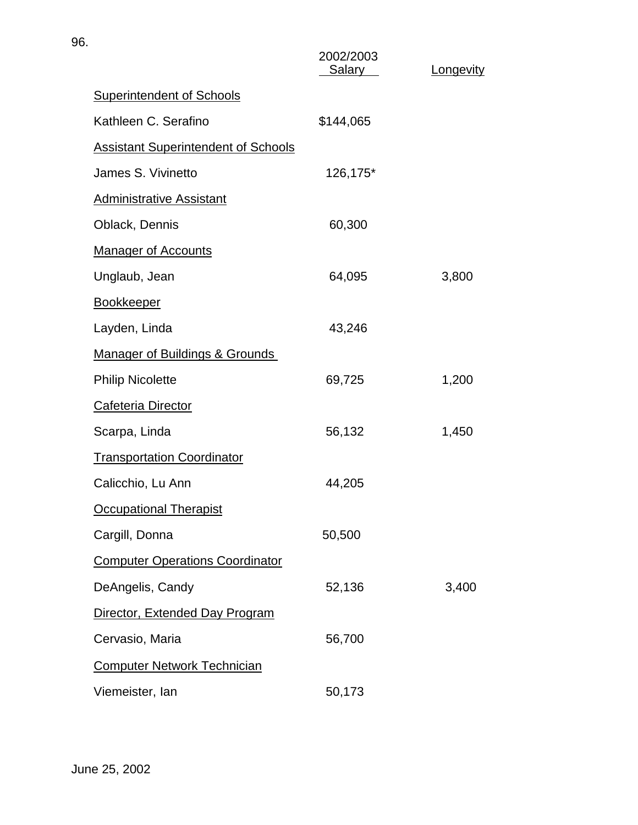|                                            | 2002/2003<br>Salary __ | Longevity |
|--------------------------------------------|------------------------|-----------|
| <b>Superintendent of Schools</b>           |                        |           |
| Kathleen C. Serafino                       | \$144,065              |           |
| <b>Assistant Superintendent of Schools</b> |                        |           |
| James S. Vivinetto                         | 126,175*               |           |
| <b>Administrative Assistant</b>            |                        |           |
| Oblack, Dennis                             | 60,300                 |           |
| <b>Manager of Accounts</b>                 |                        |           |
| Unglaub, Jean                              | 64,095                 | 3,800     |
| <b>Bookkeeper</b>                          |                        |           |
| Layden, Linda                              | 43,246                 |           |
| <b>Manager of Buildings &amp; Grounds</b>  |                        |           |
| <b>Philip Nicolette</b>                    | 69,725                 | 1,200     |
| Cafeteria Director                         |                        |           |
| Scarpa, Linda                              | 56,132                 | 1,450     |
| <b>Transportation Coordinator</b>          |                        |           |
| Calicchio, Lu Ann                          | 44,205                 |           |
| <b>Occupational Therapist</b>              |                        |           |
| Cargill, Donna                             | 50,500                 |           |
| <b>Computer Operations Coordinator</b>     |                        |           |
| DeAngelis, Candy                           | 52,136                 | 3,400     |
| Director, Extended Day Program             |                        |           |
| Cervasio, Maria                            | 56,700                 |           |
| <b>Computer Network Technician</b>         |                        |           |
| Viemeister, lan                            | 50,173                 |           |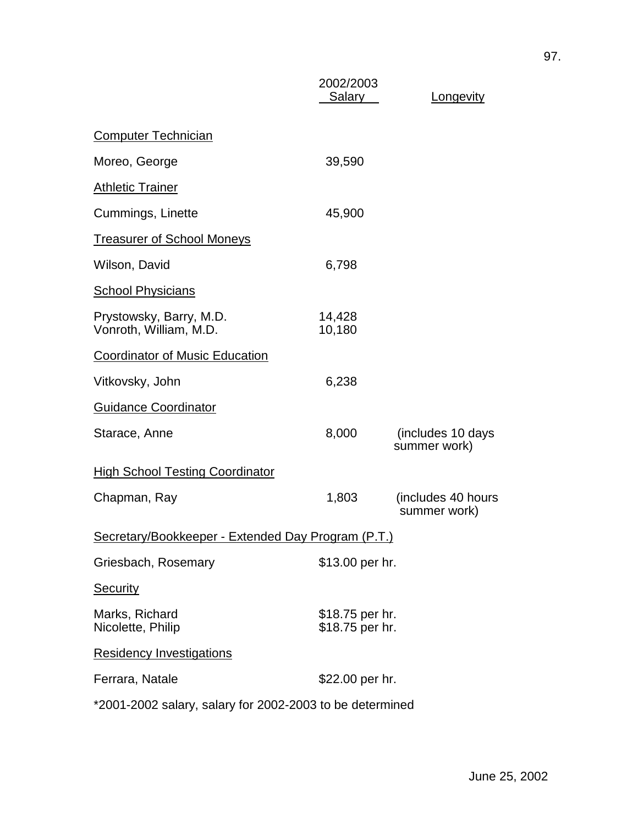|                                                            | 2002/2003<br><b>Salary</b>         | Longevity                          |
|------------------------------------------------------------|------------------------------------|------------------------------------|
| <b>Computer Technician</b>                                 |                                    |                                    |
| Moreo, George                                              | 39,590                             |                                    |
| <b>Athletic Trainer</b>                                    |                                    |                                    |
| Cummings, Linette                                          | 45,900                             |                                    |
| <b>Treasurer of School Moneys</b>                          |                                    |                                    |
| Wilson, David                                              | 6,798                              |                                    |
| <b>School Physicians</b>                                   |                                    |                                    |
| Prystowsky, Barry, M.D.<br>Vonroth, William, M.D.          | 14,428<br>10,180                   |                                    |
| <b>Coordinator of Music Education</b>                      |                                    |                                    |
| Vitkovsky, John                                            | 6,238                              |                                    |
| <b>Guidance Coordinator</b>                                |                                    |                                    |
| Starace, Anne                                              | 8,000                              | (includes 10 days<br>summer work)  |
| <b>High School Testing Coordinator</b>                     |                                    |                                    |
| Chapman, Ray                                               | 1,803                              | (includes 40 hours<br>summer work) |
| <u> Secretary/Bookkeeper - Extended Day Program (P.T.)</u> |                                    |                                    |
| Griesbach, Rosemary                                        | \$13.00 per hr.                    |                                    |
| <b>Security</b>                                            |                                    |                                    |
| Marks, Richard<br>Nicolette, Philip                        | \$18.75 per hr.<br>\$18.75 per hr. |                                    |
| <b>Residency Investigations</b>                            |                                    |                                    |
| Ferrara, Natale                                            | \$22.00 per hr.                    |                                    |
| *2001-2002 salary, salary for 2002-2003 to be determined   |                                    |                                    |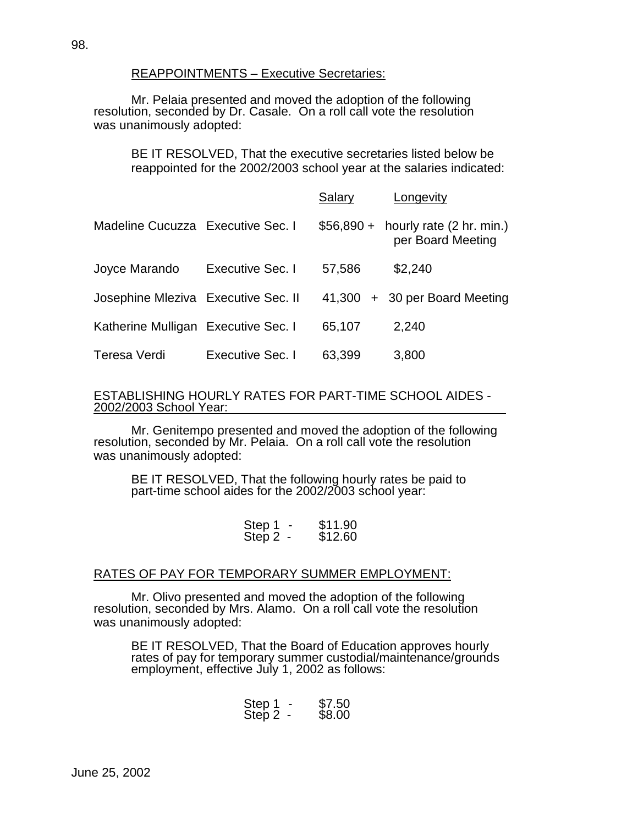# REAPPOINTMENTS – Executive Secretaries:

 Mr. Pelaia presented and moved the adoption of the following resolution, seconded by Dr. Casale. On a roll call vote the resolution was unanimously adopted:

BE IT RESOLVED, That the executive secretaries listed below be reappointed for the 2002/2003 school year at the salaries indicated:

|                                     |                  | Salary      | Longevity                                     |
|-------------------------------------|------------------|-------------|-----------------------------------------------|
| Madeline Cucuzza Executive Sec. I   |                  | $$56,890 +$ | hourly rate (2 hr. min.)<br>per Board Meeting |
| Joyce Marando                       | Executive Sec. I | 57,586      | \$2,240                                       |
| Josephine Mleziva Executive Sec. II |                  | 41.300      | + 30 per Board Meeting                        |
| Katherine Mulligan Executive Sec. I |                  | 65,107      | 2,240                                         |
| Teresa Verdi                        | Executive Sec. I | 63,399      | 3,800                                         |

# ESTABLISHING HOURLY RATES FOR PART-TIME SCHOOL AIDES - 2002/2003 School Year:

 Mr. Genitempo presented and moved the adoption of the following resolution, seconded by Mr. Pelaia. On a roll call vote the resolution was unanimously adopted:

BE IT RESOLVED, That the following hourly rates be paid to part-time school aides for the 2002/2003 school year:

| Step 1     | \$11.90 |
|------------|---------|
| Step $2 -$ | \$12.60 |

# RATES OF PAY FOR TEMPORARY SUMMER EMPLOYMENT:

 Mr. Olivo presented and moved the adoption of the following resolution, seconded by Mrs. Alamo. On a roll call vote the resolution was unanimously adopted:

BE IT RESOLVED, That the Board of Education approves hourly rates of pay for temporary summer custodial/maintenance/grounds employment, effective July 1, 2002 as follows:

| Step 1     | \$7.50 |
|------------|--------|
| Step $2 -$ | \$8.00 |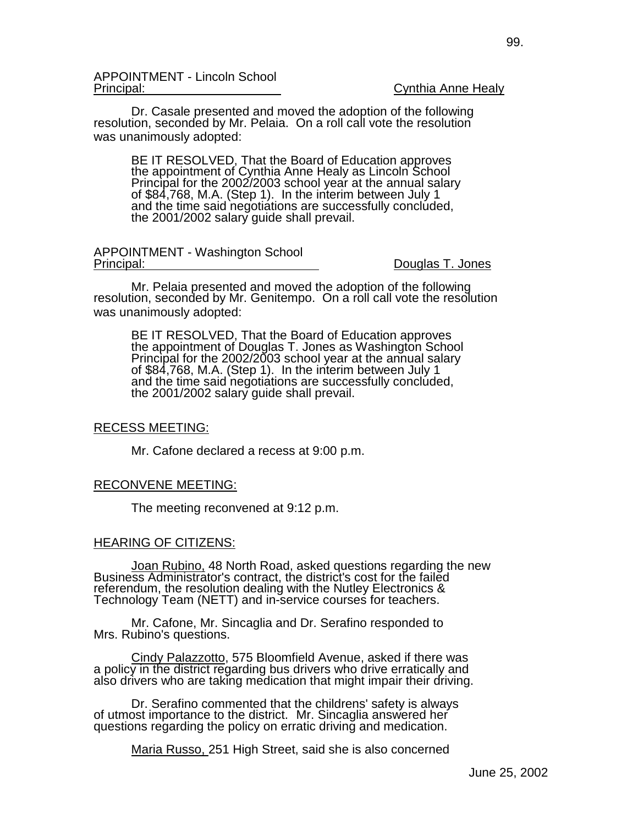Dr. Casale presented and moved the adoption of the following resolution, seconded by Mr. Pelaia. On a roll call vote the resolution was unanimously adopted:

BE IT RESOLVED, That the Board of Education approves the appointment of Cynthia Anne Healy as Lincoln School Principal for the 2002/2003 school year at the annual salary of \$84,768, M.A. (Step 1). In the interim between July 1 and the time said negotiations are successfully concluded, the 2001/2002 salary guide shall prevail.

APPOINTMENT - Washington School<br>Principal:

Douglas T. Jones

 Mr. Pelaia presented and moved the adoption of the following resolution, seconded by Mr. Genitempo. On a roll call vote the resolution was unanimously adopted:

BE IT RESOLVED, That the Board of Education approves the appointment of Douglas T. Jones as Washington School Principal for the 2002/2003 school year at the annual salary of \$84,768, M.A. (Step 1). In the interim between July 1 and the time said negotiations are successfully concluded, the 2001/2002 salary guide shall prevail.

# RECESS MEETING:

Mr. Cafone declared a recess at 9:00 p.m.

#### RECONVENE MEETING:

The meeting reconvened at 9:12 p.m.

#### HEARING OF CITIZENS:

Joan Rubino, 48 North Road, asked questions regarding the new<br>Business Administrator's contract, the district's cost for the failed referendum, the resolution dealing with the Nutley Electronics & Technology Team (NETT) and in-service courses for teachers.

 Mr. Cafone, Mr. Sincaglia and Dr. Serafino responded to Mrs. Rubino's questions.

 Cindy Palazzotto, 575 Bloomfield Avenue, asked if there was a policy in the district regarding bus drivers who drive erratically and also drivers who are taking medication that might impair their driving.

 Dr. Serafino commented that the childrens' safety is always of utmost importance to the district. Mr. Sincaglia answered her questions regarding the policy on erratic driving and medication.

Maria Russo, 251 High Street, said she is also concerned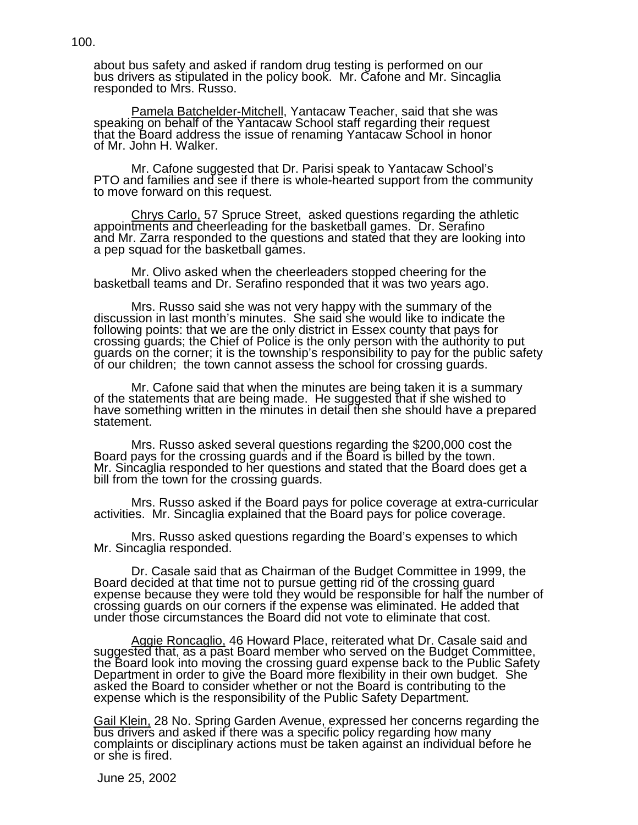about bus safety and asked if random drug testing is performed on our bus drivers as stipulated in the policy book. Mr. Cafone and Mr. Sincaglia responded to Mrs. Russo.

 Pamela Batchelder-Mitchell, Yantacaw Teacher, said that she was speaking on behalf of the Yantacaw School staff regarding their request that the Board address the issue of renaming Yantacaw School in honor of Mr. John H. Walker.

 Mr. Cafone suggested that Dr. Parisi speak to Yantacaw School's PTO and families and see if there is whole-hearted support from the community to move forward on this request.

Chrys Carlo, 57 Spruce Street, asked questions regarding the athletic appointments and cheerleading for the basketball games. Dr. Serafino and Mr. Zarra responded to the questions and stated that they are looking into a pep squad for the basketball games.

 Mr. Olivo asked when the cheerleaders stopped cheering for the basketball teams and Dr. Serafino responded that it was two years ago.

 Mrs. Russo said she was not very happy with the summary of the discussion in last month's minutes. She said she would like to indicate the following points: that we are the only district in Essex county that pays for crossing guards; the Chief of Police is the only person with the authority to put guards on the corner; it is the township's responsibility to pay for the public safety of our children; the town cannot assess the school for crossing guards.

 Mr. Cafone said that when the minutes are being taken it is a summary of the statements that are being made. He suggested that if she wished to have something written in the minutes in detail then she should have a prepared statement.

Mrs. Russo asked several questions regarding the \$200,000 cost the Board pays for the crossing guards and if the Board is billed by the town. Mr. Sincaglia responded to her questions and stated that the Board does get a bill from the town for the crossing guards.

 Mrs. Russo asked if the Board pays for police coverage at extra-curricular activities. Mr. Sincaglia explained that the Board pays for police coverage.

 Mrs. Russo asked questions regarding the Board's expenses to which Mr. Sincaglia responded.

 Dr. Casale said that as Chairman of the Budget Committee in 1999, the Board decided at that time not to pursue getting rid of the crossing guard expense because they were told they would be responsible for half the number of crossing guards on our corners if the expense was eliminated. He added that under those circumstances the Board did not vote to eliminate that cost.

 Aggie Roncaglio, 46 Howard Place, reiterated what Dr. Casale said and suggested that, as a past Board member who served on the Budget Committee, the Board look into moving the crossing guard expense back to the Public Safety Department in order to give the Board more flexibility in their own budget. She asked the Board to consider whether or not the Board is contributing to the expense which is the responsibility of the Public Safety Department.

Gail Klein, 28 No. Spring Garden Avenue, expressed her concerns regarding the bus drivers and asked if there was a specific policy regarding how many complaints or disciplinary actions must be taken against an individual before he or she is fired.

June 25, 2002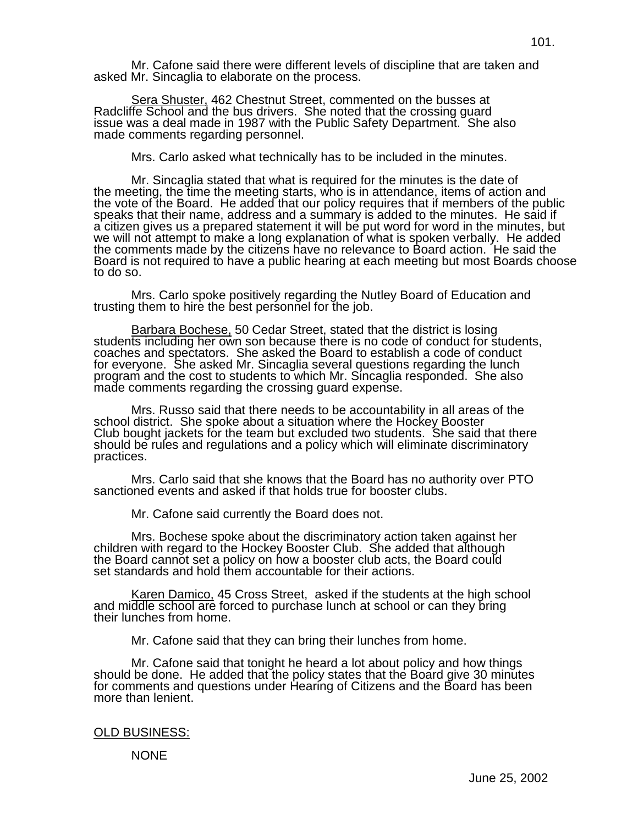Mr. Cafone said there were different levels of discipline that are taken and asked Mr. Sincaglia to elaborate on the process.

Sera Shuster, 462 Chestnut Street, commented on the busses at Radcliffe School and the bus drivers. She noted that the crossing quard issue was a deal made in 1987 with the Public Safety Department. She also made comments regarding personnel.

Mrs. Carlo asked what technically has to be included in the minutes.

Mr. Sincaglia stated that what is required for the minutes is the date of the meeting, the time the meeting starts, who is in attendance, items of action and the vote of the Board. He added that our policy requires that if members of the public speaks that their name, address and a summary is added to the minutes. He said if a citizen gives us a prepared statement it will be put word for word in the minutes, but we will not attempt to make a long explanation of what is spoken verbally. He added the comments made by the citizens have no relevance to Board action. He said the Board is not required to have a public hearing at each meeting but most Boards choose to do so.

 Mrs. Carlo spoke positively regarding the Nutley Board of Education and trusting them to hire the best personnel for the job.

Barbara Bochese, 50 Cedar Street, stated that the district is losing<br>students including her own son because there is no code of conduct for students, coaches and spectators. She asked the Board to establish a code of conduct for everyone. She asked Mr. Sincaglia several questions regarding the lunch program and the cost to students to which Mr. Sincaglia responded. She also made comments regarding the crossing guard expense.

 Mrs. Russo said that there needs to be accountability in all areas of the school district. She spoke about a situation where the Hockey Booster Club bought jackets for the team but excluded two students. She said that there should be rules and regulations and a policy which will eliminate discriminatory practices.

 Mrs. Carlo said that she knows that the Board has no authority over PTO sanctioned events and asked if that holds true for booster clubs.

Mr. Cafone said currently the Board does not.

 Mrs. Bochese spoke about the discriminatory action taken against her children with regard to the Hockey Booster Club. She added that although the Board cannot set a policy on how a booster club acts, the Board could set standards and hold them accountable for their actions.

Karen Damico, 45 Cross Street, asked if the students at the high school<br>and middle school are forced to purchase lunch at school or can they bring their lunches from home.

Mr. Cafone said that they can bring their lunches from home.

 Mr. Cafone said that tonight he heard a lot about policy and how things should be done. He added that the policy states that the Board give 30 minutes for comments and questions under Hearing of Citizens and the Board has been more than lenient.

#### OLD BUSINESS:

**NONE**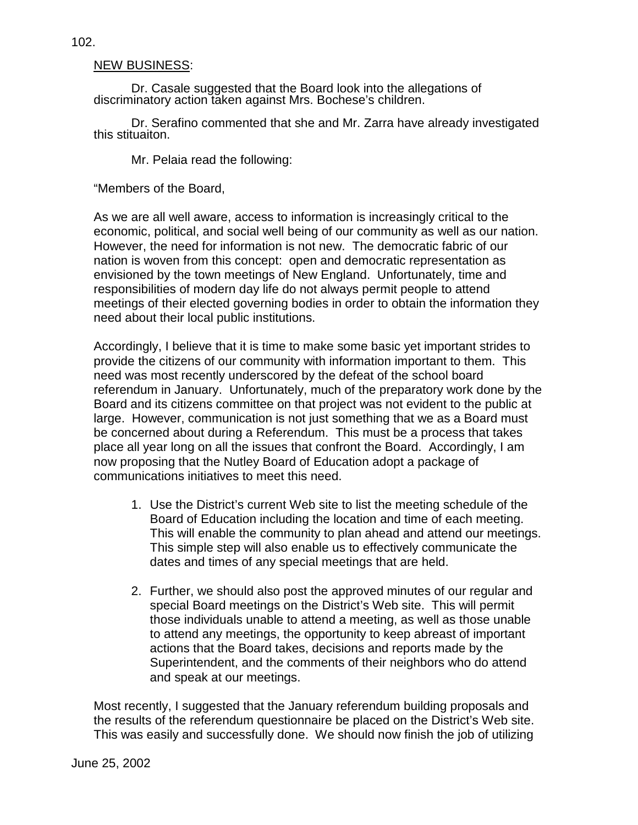# NEW BUSINESS:

 Dr. Casale suggested that the Board look into the allegations of discriminatory action taken against Mrs. Bochese's children.

 Dr. Serafino commented that she and Mr. Zarra have already investigated this stituaiton.

Mr. Pelaia read the following:

"Members of the Board,

As we are all well aware, access to information is increasingly critical to the economic, political, and social well being of our community as well as our nation. However, the need for information is not new. The democratic fabric of our nation is woven from this concept: open and democratic representation as envisioned by the town meetings of New England. Unfortunately, time and responsibilities of modern day life do not always permit people to attend meetings of their elected governing bodies in order to obtain the information they need about their local public institutions.

Accordingly, I believe that it is time to make some basic yet important strides to provide the citizens of our community with information important to them. This need was most recently underscored by the defeat of the school board referendum in January. Unfortunately, much of the preparatory work done by the Board and its citizens committee on that project was not evident to the public at large. However, communication is not just something that we as a Board must be concerned about during a Referendum. This must be a process that takes place all year long on all the issues that confront the Board. Accordingly, I am now proposing that the Nutley Board of Education adopt a package of communications initiatives to meet this need.

- 1. Use the District's current Web site to list the meeting schedule of the Board of Education including the location and time of each meeting. This will enable the community to plan ahead and attend our meetings. This simple step will also enable us to effectively communicate the dates and times of any special meetings that are held.
- 2. Further, we should also post the approved minutes of our regular and special Board meetings on the District's Web site. This will permit those individuals unable to attend a meeting, as well as those unable to attend any meetings, the opportunity to keep abreast of important actions that the Board takes, decisions and reports made by the Superintendent, and the comments of their neighbors who do attend and speak at our meetings.

Most recently, I suggested that the January referendum building proposals and the results of the referendum questionnaire be placed on the District's Web site. This was easily and successfully done. We should now finish the job of utilizing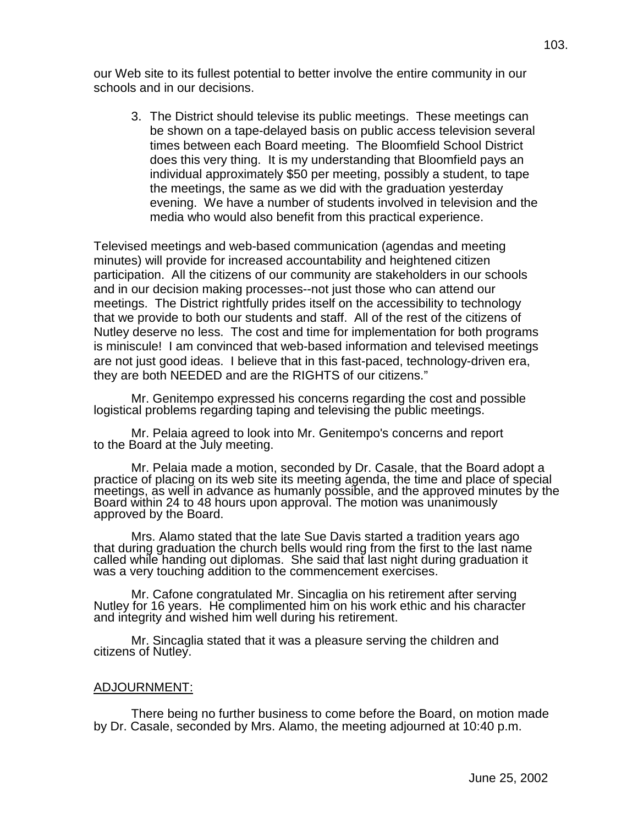our Web site to its fullest potential to better involve the entire community in our schools and in our decisions.

3. The District should televise its public meetings. These meetings can be shown on a tape-delayed basis on public access television several times between each Board meeting. The Bloomfield School District does this very thing. It is my understanding that Bloomfield pays an individual approximately \$50 per meeting, possibly a student, to tape the meetings, the same as we did with the graduation yesterday evening. We have a number of students involved in television and the media who would also benefit from this practical experience.

Televised meetings and web-based communication (agendas and meeting minutes) will provide for increased accountability and heightened citizen participation. All the citizens of our community are stakeholders in our schools and in our decision making processes--not just those who can attend our meetings. The District rightfully prides itself on the accessibility to technology that we provide to both our students and staff. All of the rest of the citizens of Nutley deserve no less. The cost and time for implementation for both programs is miniscule! I am convinced that web-based information and televised meetings are not just good ideas. I believe that in this fast-paced, technology-driven era, they are both NEEDED and are the RIGHTS of our citizens."

 Mr. Genitempo expressed his concerns regarding the cost and possible logistical problems regarding taping and televising the public meetings.

 Mr. Pelaia agreed to look into Mr. Genitempo's concerns and report to the Board at the July meeting.

 Mr. Pelaia made a motion, seconded by Dr. Casale, that the Board adopt a practice of placing on its web site its meeting agenda, the time and place of special meetings, as well in advance as humanly possible, and the approved minutes by the Board within 24 to 48 hours upon approval. The motion was unanimously approved by the Board.

 Mrs. Alamo stated that the late Sue Davis started a tradition years ago that during graduation the church bells would ring from the first to the last name called while handing out diplomas. She said that last night during graduation it was a very touching addition to the commencement exercises.

 Mr. Cafone congratulated Mr. Sincaglia on his retirement after serving Nutley for 16 years. He complimented him on his work ethic and his character and integrity and wished him well during his retirement.

 Mr. Sincaglia stated that it was a pleasure serving the children and citizens of Nutley.

# ADJOURNMENT:

 There being no further business to come before the Board, on motion made by Dr. Casale, seconded by Mrs. Alamo, the meeting adjourned at 10:40 p.m.